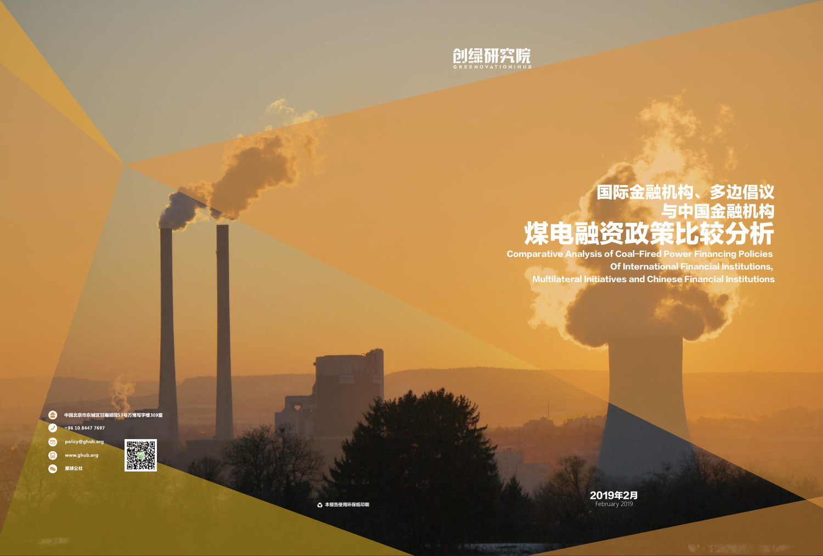

# 国际金融机构、多边倡议 与中国金融机构 煤电融资政策比较分析

Comparative Analysis of Coal-Fired Power Financing Policies Of International Financial Institutions, Multilateral Initiatives and Chinese Financial Institutions

中国北京市东城区甘雨胡同53号万博写字楼309室  $\bullet$ +86 10 8447 7697 ں ا

policy@ghub.or www.ghub.org

 $\bullet$ 星球公社



**43 本报告使用环保纸印刷** 

2019年2月 February 2019

 $\blacksquare$ 

 $\bullet$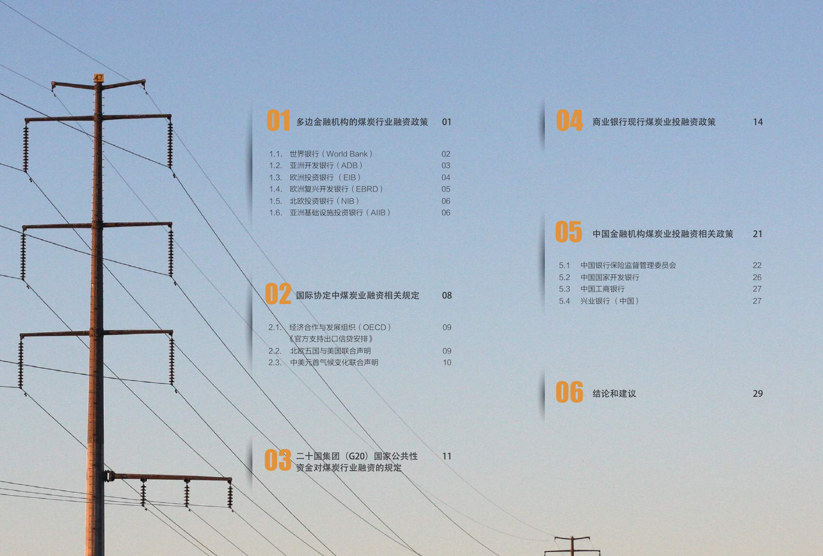

|      | 1.1. 世界银行 (World Bank) | 02 |
|------|------------------------|----|
|      | 1.2. 亚洲开发银行 (ADB)      | 03 |
| 1.3. | 欧洲投资银行 (EIB)           | 04 |
| 1.4. | 欧洲复兴开发银行 (EBRD)        | 05 |
| 1.5. | 北欧投资银行 (NIB)           | 06 |
|      | 1.6. 亚洲基础设施投资银行 (AIIB) | 06 |
|      |                        |    |
|      |                        |    |
|      |                        |    |

| 国际协定中煤炭业融资相关规定       | 08   |
|----------------------|------|
|                      |      |
| 2.1、经济合作与发展组织 (OECD) | (99) |
| 《官方支持出口信贷安排》         |      |
| 北欧五国与美国联合声明<br>2.2.  | (99) |
| 中美元首气候变化联合声明<br>2.3. |      |

11 二十国集团(G20)国家公共性 资金对煤炭行业融资的规定

14 商业银行现行煤炭业投融资政策

|     | 中国金融机构煤炭业投融资相关政策 | 21 |
|-----|------------------|----|
|     |                  |    |
| 5.1 | 中国银行保险监督管理委员会    | 22 |
| 52  | 中国国家开发银行         | 26 |
|     | 5.3 中国工商银行       |    |

| ※业银行 (中国)<br>5.4 |  |
|------------------|--|
|------------------|--|

06 结论和建议

29

27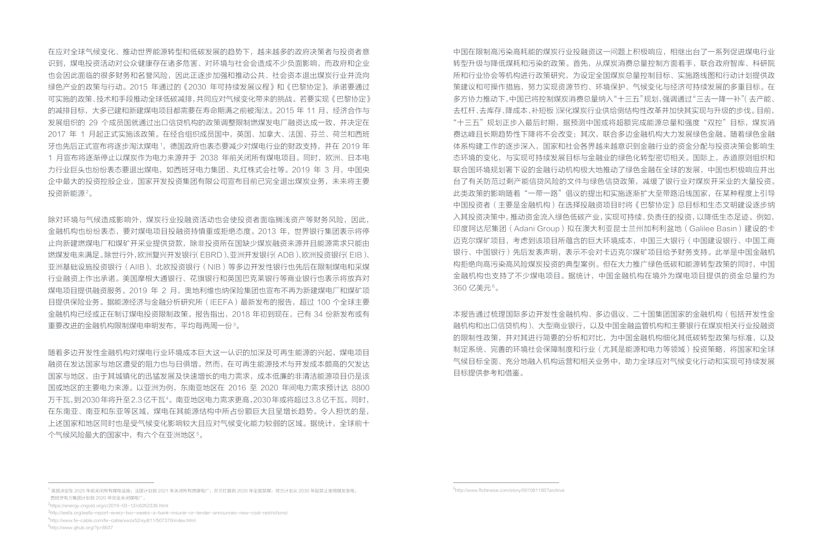在应对全球气候变化、推动世界能源转型和低碳发展的趋势下,越来越多的政府决策者与投资者意 识到,煤电投资活动对公众健康存在诸多危害、对环境与社会会造成不少负面影响,而政府和企业 也会因此面临的很多财务和名誉风险,因此正逐步加强和推动公共、社会资本退出煤炭行业并流向 绿色产业的政策与行动。2015 年通过的《2030 年可持续发展议程》和《巴黎协定》,承诺要通过 可实施的政策、技术和手段推动全球低碳减排,共同应对气候变化带来的挑战。若要实现《巴黎协定》 的减排目标,大多已建和新建煤电项目都需要在寿命期满之前被淘汰。2015 年 11 月,经济合作与 发展组织的 29 个成员国就通过出口信贷机构的政策调整限制燃煤发电厂融资达成一致,并决定在 2017 年 1 月起正式实施该政策。在经合组织成员国中,英国、加拿大、法国、芬兰、荷兰和西班 牙也先后正式宣布将逐步淘汰煤电 1,德国政府也表态要减少对煤电行业的财政支持,并在 2019 年 1 月宣布将逐渐停止以煤炭作为电力来源并于 2038 年前关闭所有煤电项目。同时,欧洲、日本电 力行业巨头也纷纷表态要退出煤电,如西班牙电力集团、丸红株式会社等。2019 年 3 月,中国央 企中最大的投资控股企业,国家开发投资集团有限公司宣布目前已完全退出煤炭业务,未来将主要 投资新能源2。

除对环境与气候造成影响外,煤炭行业投融资活动也会使投资者面临搁浅资产等财务风险,因此, 金融机构也纷纷表态,要对煤电项目投融资持慎重或拒绝态度。2013 年,世界银行集团表示将停 止向新建燃煤电厂和煤矿开采业提供贷款,除非投资所在国缺少煤炭融资来源并且能源需求只能由 燃煤发电来满足。除世行外,欧洲复兴开发银行(EBRD)、亚洲开发银行(ADB)、欧洲投资银行(EIB)、 亚洲基础设施投资银行(AIIB)、北欧投资银行(NIB)等多边开发性银行也先后在限制煤电和采煤 行业融资上作出承诺。美国摩根大通银行、花旗银行和英国巴克莱银行等商业银行也表示将放弃对 煤电项目提供融资服务。2019 年 2 月,奥地利维也纳保险集团也宣布不再为新建煤电厂和煤矿项 目提供保险业务。据能源经济与金融分析研究所(IEEFA)最新发布的报告,超过 100 个全球主要 金融机构已经或正在制订煤电投资限制政策。报告指出,2018 年初到现在,已有 34 份新发布或有 重要改进的金融机构限制煤电申明发布,平均每两周一份3。

随着多边开发性金融机构对煤电行业环境成本巨大这一认识的加深及可再生能源的兴起,煤电项目 融资在发达国家与地区遭受的阻力也与日俱增。然而,在可再生能源技术与开发成本颇高的欠发达 国家与地区,由于其城镇化的迅猛发展及快速增长的电力需求,成本低廉的非清洁能源项目仍是该 国或地区的主要电力来源。以亚洲为例,东南亚地区在 2016 至 2020 年间电力需求预计达 8800 万千瓦,到2030年将升至2.3亿千瓦4。南亚地区电力需求更高,2030年或将超过3.8亿千瓦。同时, 在东南亚、南亚和东亚等区域,煤电在其能源结构中所占份额巨大且呈增长趋势。令人担忧的是, 上述国家和地区同时也是受气候变化影响较大且应对气候变化能力较弱的区域。据统计,全球前十 个气候风险最大的国家中,有六个在亚洲地区5。

中国在限制高污染高耗能的煤炭行业投融资这一问题上积极响应,相继出台了一系列促进煤电行业 转型升级与降低煤耗和污染的政策。首先,从煤炭消费总量控制方面着手,联合政府智库、科研院 所和行业协会等机构进行政策研究,为设定全国煤炭总量控制目标、实施路线图和行动计划提供政 策建议和可操作措施,努力实现资源节约、环境保护、气候变化与经济可持续发展的多重目标。在 多方协力推动下,中国已将控制煤炭消费总量纳入"十三五"规划,强调通过"三去一降一补"(去产能、 去杠杆、去库存、降成本、补短板)深化煤炭行业供给侧结构性改革并加快其实现与升级的步伐。目前, "十三五"规划正步入最后时期,据预测中国或将超额完成能源总量和强度"双控"目标,煤炭消 费达峰且长期趋势性下降将不会改变;其次,联合多边金融机构大力发展绿色金融。随着绿色金融 体系构建工作的逐步深入,国家和社会各界越来越意识到金融行业的资金分配与投资决策会影响生 态环境的变化,与实现可持续发展目标与金融业的绿色化转型密切相关。国际上,赤道原则组织和 联合国环境规划署下设的金融行动机构极大地推动了绿色金融在全球的发展,中国也积极响应并出 台了有关防范过剩产能信贷风险的文件与绿色信贷政策,减缓了银行业对煤炭开采业的大量投资。 此类政策的影响随着"一带一路"倡议的提出和实施逐渐扩大至带路沿线国家,在某种程度上引导 中国投资者(主要是金融机构)在选择投融资项目时将《巴黎协定》总目标和生态文明建设逐步纳 入其投资决策中,推动资金流入绿色低碳产业,实现可持续、负责任的投资,以降低生态足迹。例如, 印度阿达尼集团(Adani Group)拟在澳大利亚昆士兰州加利利盆地(Galilee Basin)建设的卡 迈克尔煤矿项目,考虑到该项目所蕴含的巨大环境成本,中国三大银行(中国建设银行、中国工商 银行、中国银行)先后发表声明,表示不会对卡迈克尔煤矿项目给予财务支持。此举是中国金融机 构拒绝向高污染高风险煤炭投资的典型案例。但在大力推广绿色低碳和能源转型政策的同时,中国 金融机构也支持了不少煤电项目。据统计,中国金融机构在境外为煤电项目提供的资金总量约为 360 亿美元6。

本报告通过梳理国际多边开发性金融机构、多边倡议、二十国集团国家的金融机构(包括开发性金 融机构和出口信贷机构)、大型商业银行,以及中国金融监管机构和主要银行在煤炭相关行业投融资 的限制性政策,并对其进行简要的分析和对比,为中国金融机构细化其低碳转型政策与标准,以及 制定系统、完善的环境社会保障制度和行业(尤其是能源和电力等领域)投资策略,将国家和全球 气候目标全面、充分地融入机构运营和相关业务中,助力全球应对气候变化行动和实现可持续发展 目标提供参考和借鉴。

6http://www.ftchinese.com/story/001081180?archive

<sup>1</sup> 英国决定在 2025 年前关闭所有煤电设施;法国计划到 2021 年关闭所有燃煤电厂;芬兰打算到 2030 年全面禁煤;荷兰计划从 2030 年起禁止使用煤炭发电; 西班牙电力集团计划到 2020 年完全关闭煤电厂。

<sup>2</sup>https://energy.cngold.org/c/2019-03-12/c6262336.html

<sup>3</sup>http://ieefa.org/ieefa-report-every-two-weeks-a-bank-insurer-or-lender-announces-new-coal-restrictions/

<sup>4</sup>http://www.fe-cable.com/fe-cable/xwzx52/xydt11/507370/index.html

<sup>5</sup>http://www.ghub.org/?p=8637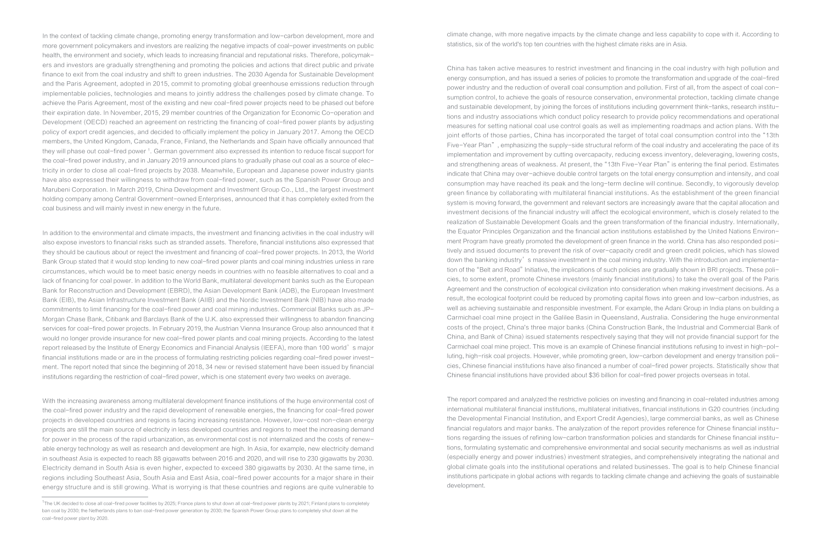In the context of tackling climate change, promoting energy transformation and<br>more government policymakers and investors are realizing the negative impacts<br>health, the environment and society, which leads to increasing fi In the context of tackling climate change, promoting energy transformation and low-carbon development, more and more government policymakers and investors are realizing the negative impacts of coal-power investments on public health, the environment and society, which leads to increasing financial and reputational risks. Therefore, policymakers and investors are gradually strengthening and promoting the policies and actions that direct public and private finance to exit from the coal industry and shift to green industries. The 2030 Agenda for Sustainable Development and the Paris Agreement, adopted in 2015, commit to promoting global greenhouse emissions reduction through implementable policies, technologies and means to jointly address the challenges posed by climate change. To achieve the Paris Agreement, most of the existing and new coal-fired power projects need to be phased out before their expiration date. In November, 2015, 29 member countries of the Organization for Economic Co-operation and Development (OECD) reached an agreement on restricting the financing of coal-fired power plants by adjusting policy of export credit agencies, and decided to officially implement the policy in January 2017. Among the OECD members, the United Kingdom, Canada, France, Finland, the Netherlands and Spain have officially announced that they will phase out coal-fired power 1. German government also expressed its intention to reduce fiscal support for the coal-fired power industry, and in January 2019 announced plans to gradually phase out coal as a source of electricity in order to close all coal-fired projects by 2038. Meanwhile, European and Japanese power industry giants have also expressed their willingness to withdraw from coal-fired power, such as the Spanish Power Group and Marubeni Corporation. In March 2019, China Development and Investment Group Co., Ltd., the largest investment holding company among Central Government-owned Enterprises, announced that it has completely exited from the coal business and will mainly invest in new energy in the future.

> In addition to the environmental and climate impacts, the investment and financing activities in the coal industry will also expose investors to financial risks such as stranded assets. Therefore, financial institutions also expressed that they should be cautious about or reject the investment and financing of coal-fired power projects. In 2013, the World Bank Group stated that it would stop lending to new coal-fired power plants and coal mining industries unless in rare circumstances, which would be to meet basic energy needs in countries with no feasible alternatives to coal and a lack of financing for coal power. In addition to the World Bank, multilateral development banks such as the European Bank for Reconstruction and Development (EBRD), the Asian Development Bank (ADB), the European Investment Bank (EIB), the Asian Infrastructure Investment Bank (AIIB) and the Nordic Investment Bank (NIB) have also made commitments to limit financing for the coal-fired power and coal mining industries. Commercial Banks such as JP-Morgan Chase Bank, Citibank and Barclays Bank of the U.K. also expressed their willingness to abandon financing services for coal-fired power projects. In February 2019, the Austrian Vienna Insurance Group also announced that it would no longer provide insurance for new coal-fired power plants and coal mining projects. According to the latest report released by the Institute of Energy Economics and Financial Analysis (IEEFA), more than 100 world's major financial institutions made or are in the process of formulating restricting policies regarding coal-fired power investment. The report noted that since the beginning of 2018, 34 new or revised statement have been issued by financial institutions regarding the restriction of coal-fired power, which is one statement every two weeks on average.

> With the increasing awareness among multilateral development finance institutions of the huge environmental cost of the coal-fired power industry and the rapid development of renewable energies, the financing for coal-fired power projects in developed countries and regions is facing increasing resistance. However, low-cost non-clean energy projects are still the main source of electricity in less developed countries and regions to meet the increasing demand for power in the process of the rapid urbanization, as environmental cost is not internalized and the costs of renewable energy technology as well as research and development are high. In Asia, for example, new electricity demand in southeast Asia is expected to reach 88 gigawatts between 2016 and 2020, and will rise to 230 gigawatts by 2030. Electricity demand in South Asia is even higher, expected to exceed 380 gigawatts by 2030. At the same time, in regions including Southeast Asia, South Asia and East Asia, coal-fired power accounts for a major share in their energy structure and is still growing. What is worrying is that these countries and regions are quite vulnerable to

climate change, with more negative impacts by the climate change and less capability to cope with it. According to statistics, six of the world's top ten countries with the highest climate risks are in Asia.

China has taken active measures to restrict investment and financing in the coal industry with high pollution and energy consumption, and has issued a series of policies to promote the transformation and upgrade of the coal-fired power industry and the reduction of overall coal consumption and pollution. First of all, from the aspect of coal consumption control, to achieve the goals of resource conservation, environmental protection, tackling climate change and sustainable development, by joining the forces of institutions including government think-tanks, research institutions and industry associations which conduct policy research to provide policy recommendations and operational measures for setting national coal use control goals as well as implementing roadmaps and action plans. With the joint efforts of those parties, China has incorporated the target of total coal consumption control into the "13th Five-Year Plan", emphasizing the supply-side structural reform of the coal industry and accelerating the pace of its implementation and improvement by cutting overcapacity, reducing excess inventory, deleveraging, lowering costs, and strengthening areas of weakness. At present, the "13th Five-Year Plan" is entering the final period. Estimates indicate that China may over-achieve double control targets on the total energy consumption and intensity, and coal consumption may have reached its peak and the long-term decline will continue. Secondly, to vigorously develop green finance by collaborating with multilateral financial institutions. As the establishment of the green financial system is moving forward, the government and relevant sectors are increasingly aware that the capital allocation and investment decisions of the financial industry will affect the ecological environment, which is closely related to the realization of Sustainable Development Goals and the green transformation of the financial industry. Internationally, the Equator Principles Organization and the financial action institutions established by the United Nations Environment Program have greatly promoted the development of green finance in the world. China has also responded positively and issued documents to prevent the risk of over-capacity credit and green credit policies, which has slowed down the banking industry's massive investment in the coal mining industry. With the introduction and implementation of the "Belt and Road" Initiative, the implications of such policies are gradually shown in BRI projects. These policies, to some extent, promote Chinese investors (mainly financial institutions) to take the overall goal of the Paris Agreement and the construction of ecological civilization into consideration when making investment decisions. As a result, the ecological footprint could be reduced by promoting capital flows into green and low-carbon industries, as well as achieving sustainable and responsible investment. For example, the Adani Group in India plans on building a Carmichael coal mine project in the Galilee Basin in Queensland, Australia. Considering the huge environmental costs of the project, China's three major banks (China Construction Bank, the Industrial and Commercial Bank of China, and Bank of China) issued statements respectively saying that they will not provide financial support for the Carmichael coal mine project. This move is an example of Chinese financial institutions refusing to invest in high-polluting, high-risk coal projects. However, while promoting green, low-carbon development and energy transition policies, Chinese financial institutions have also financed a number of coal-fired power projects. Statistically show that Chinese financial institutions have provided about \$36 billion for coal-fired power projects overseas in total.

The report compared and analyzed the restrictive policies on investing and financing in coal-related industries among international multilateral financial institutions, multilateral initiatives, financial institutions in G20 countries (including the Developmental Financial Institution, and Export Credit Agencies), large commercial banks, as well as Chinese financial regulators and major banks. The analyzation of the report provides reference for Chinese financial institutions regarding the issues of refining low-carbon transformation policies and standards for Chinese financial institutions, formulating systematic and comprehensive environmental and social security mechanisms as well as industrial (especially energy and power industries) investment strategies, and comprehensively integrating the national and global climate goals into the institutional operations and related businesses. The goal is to help Chinese financial institutions participate in global actions with regards to tackling climate change and achieving the goals of sustainable development.

<sup>&</sup>lt;sup>1</sup>The UK decided to close all coal-fired power facilities by 2025; France plans to shut down all coal-fired power plants by 2021; Finland plans to completely ban coal by 2030; the Netherlands plans to ban coal-fired power generation by 2030; the Spanish Power Group plans to completely shut down all the coal-fired power plant by 2020.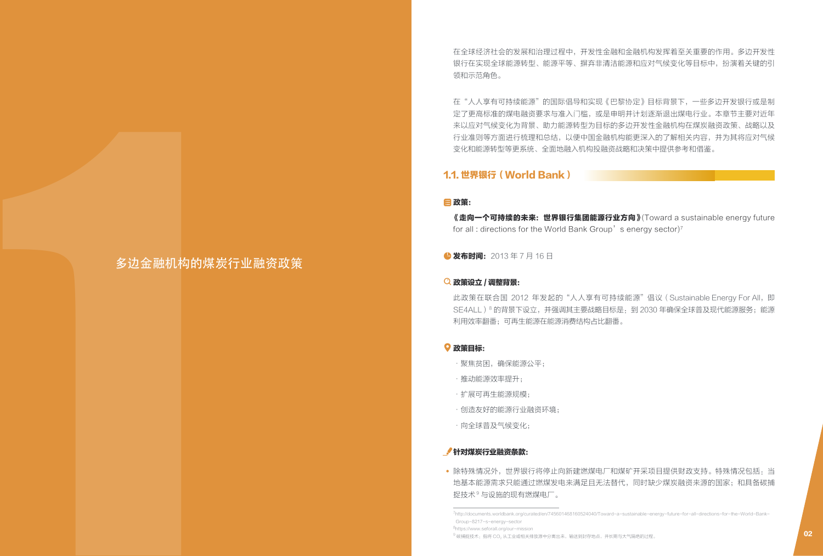在全球经济社会的发展和治理过程中,开发性金融和金融机构发挥着至关重要的作用。多边开发性 银行在实现全球能源转型、能源平等、摒弃非清洁能源和应对气候变化等目标中,扮演着关键的引 领和示范角色。

在"人人享有可持续能源"的国际倡导和实现《巴黎协定》目标背景下,一些多边开发银行或是制 定了更高标准的煤电融资要求与准入门槛,或是申明并计划逐渐退出煤电行业。本章节主要对近年 来以应对气候变化为背景、助力能源转型为目标的多边开发性金融机构在煤炭融资政策、战略以及 行业准则等方面进行梳理和总结,以便中国金融机构能更深入的了解相关内容,并为其将应对气候 变化和能源转型等更系统、全面地融入机构投融资战略和决策中提供参考和借鉴。

# 1.1. 世界银行(World Bank)

#### 政策:

多边金融机构的煤炭行业融资政策

《走向一个可持续的未来: 世界银行集团能源行业方向》 (Toward a sustainable energy future for all : directions for the World Bank Group's energy sector)<sup>7</sup>

**4 发布时间:** 2013年7月16日

### 政策设立 / 调整背景:

此政策在联合国 2012 年发起的"人人享有可持续能源"倡议 (Sustainable Energy For All, 即 SE4ALL)<sup>8</sup> 的背景下设立,并强调其主要战略目标是: 到 2030 年确保全球普及现代能源服务;能源 利用效率翻番;可再生能源在能源消费结构占比翻番。 地基本能源需求只能通过燃煤发电来满足且无法替代,同时缺少煤炭融资来源的国家;和具备碳捕 1 捉技术9 与设施的现有燃煤电厂。

#### 政策目标:

- •聚焦贫困,确保能源公平;
- ·推动能源效率提升;
- ·扩展可再生能源规模;
- ·创造友好的能源行业融资环境;
- ·向全球普及气候变化;

### 针对煤炭行业融资条款:

• 除特殊情况外,世界银行将停止向新建燃煤电厂和煤矿开采项目提供财政支持。特殊情况包括:当

<sup>7</sup>http://documents.worldbank.org/curated/en/745601468160524040/Toward-a-sustainable-energy-future-for-all-directions-for-the-World-Bank- Group-8217-s-energy-sector

<sup>8</sup>https://www.seforall.org/our-mission

 $^9$ 碳捕捉技术:指将 CO2 从工业或相关排放源中分离出来,输送到封存地点,并长期与大气隔绝的过程。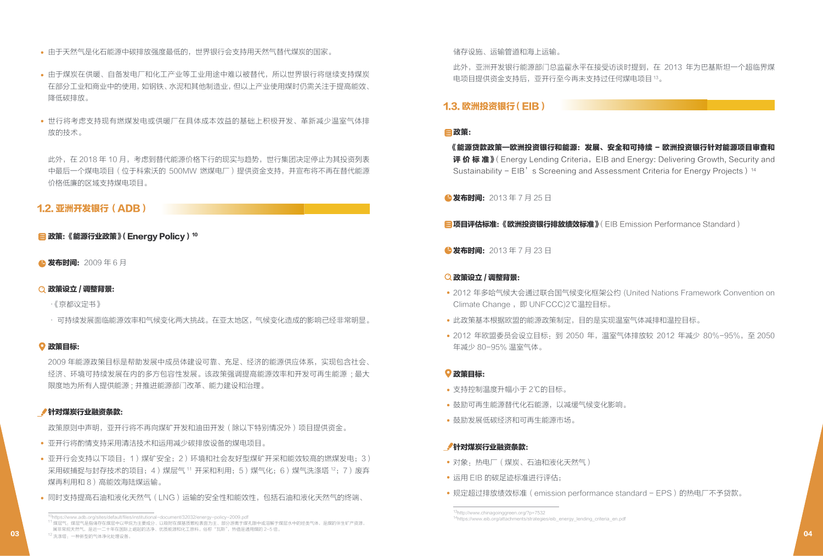- 由于天然气是化石能源中碳排放强度最低的,世界银行会支持用天然气替代煤炭的国家。
- 由于煤炭在供暖、自备发电厂和化工产业等工业用途中难以被替代,所以世界银行将继续支持煤炭 在部分工业和商业中的使用,如钢铁、水泥和其他制造业,但以上产业使用煤时仍需关注于提高能效、 降低碳排放。
- 世行将考虑支持现有燃煤发电或供暖厂在具体成本效益的基础上积极开发、革新减少温室气体排 放的技术。

此外,在 2018 年 10 月,考虑到替代能源价格下行的现实与趋势,世行集团决定停止为其投资列表 中最后一个煤电项目(位于科索沃的 500MW 燃煤电厂)提供资金支持,并宣布将不再在替代能源 价格低廉的区域支持煤电项目。

# 1.2. 亚洲开发银行(ADB)

# **目政策:《能源行业政策》(Energy Policy)<sup>10</sup>**

▲发布时间: 2009年6月

# 政策设立 / 调整背景:

- ·《京都议定书》
- · 可持续发展面临能源效率和气候变化两大挑战。在亚太地区,气候变化造成的影响已经非常明显。

# 政策目标:

2009 年能源政策目标是帮助发展中成员体建设可靠、充足、经济的能源供应体系,实现包含社会、 经济、环境可持续发展在内的多方包容性发展。该政策强调提高能源效率和开发可再生能源 ; 最大 限度地为所有人提供能源 ; 并推进能源部门改革、能力建设和治理。

# 针对煤炭行业融资条款:

政策原则中声明,亚开行将不再向煤矿开发和油田开发(除以下特别情况外)项目提供资金。

- 亚开行将酌情支持采用清洁技术和运用减少碳排放设备的煤电项目。
- 亚开行会支持以下项目:1)煤矿安全;2)环境和社会友好型煤矿开采和能效较高的燃煤发电;3) 采用碳捕捉与封存技术的项目;4)煤层气 11 开采和利用;5)煤气化;6)煤气洗涤塔 12;7)废弃 煤再利用和 8)高能效海陆煤运输。
- 同时支持提高石油和液化天然气(LNG)运输的安全性和能效性,包括石油和液化天然气的终端、

此外,亚洲开发银行能源部门总监翟永平在接受访谈时提到,在 2013 年为巴基斯坦一个超临界煤 电项目提供资金支持后,亚开行至今再未支持过任何煤电项目13。

# 1.3. 欧洲投资银行 (EIB)

# 政策:

《能源贷款政策—欧洲投资银行和能源:发展、安全和可持续 - 欧洲投资银行针对能源项目审查和 评价标准》(Energy Lending Criteria, EIB and Energy: Delivering Growth, Security and Sustainability -  $EIB'$  s Screening and Assessment Criteria for Energy Projects)<sup>14</sup>

**△发布时间:** 2013 年 7 月 25 日

**目项目评估标准:《欧洲投资银行排放绩效标准》**(EIB Emission Performance Standard)

●发布时间: 2013年7月23日

# 政策设立 / 调整背景:

- 2012 年多哈气候大会通过联合国气候变化框架公约 (United Nations Framework Convention on Climate Change, 即 UNFCCC)2℃温控目标。
- 此政策基本根据欧盟的能源政策制定,目的是实现温室气体减排和温控目标。
- 2012 年欧盟委员会设立目标·到 2050 年, 温室气体排放较 2012 年减少 80%-95%, 至 2050 年减少 80-95% 温室气体。

# 政策目标:

- 支持控制温度升幅小于 2℃的目标。
- 鼓励可再生能源替代化石能源,以减缓气候变化影响。
- 鼓励发展低碳经济和可再生能源市场。

### 针对煤炭行业融资条款:

- 对象:热电厂(煤炭、石油和液化天然气)
- 运用 EIB 的碳足迹标准进行评估;
- 规定超过排放绩效标准(emission performance standard EPS)的热电厂不予贷款。

ttps://www.adb.org/sites/default/files/institutional-document/32032/energy-policy-2009.pdf

<sup>11</sup> 煤层气,煤层气是指储存在煤层中以甲烷为主要成分、以吸附在煤基质颗粒表面为主、部分游离于煤孔隙中或溶解于煤层水中的烃类气体,是煤的伴生矿产资源, 属非常规天然气,是近一二十年在国际上崛起的洁净、优质能源和化工原料。俗称"瓦斯",热值是通用煤的 2-5 倍。  $\bf{03}$  , the contract of the contract of the contract of the contract of the contract of the contract of the contract of the contract of the contract of the contract of the contract of the contract of the contract of t

<sup>13</sup>http://www.chinagoinggreen.org/?p=7532 14https://www.eib.org/attachments/strategies/eib\_energy\_lending\_criteria\_en.pdf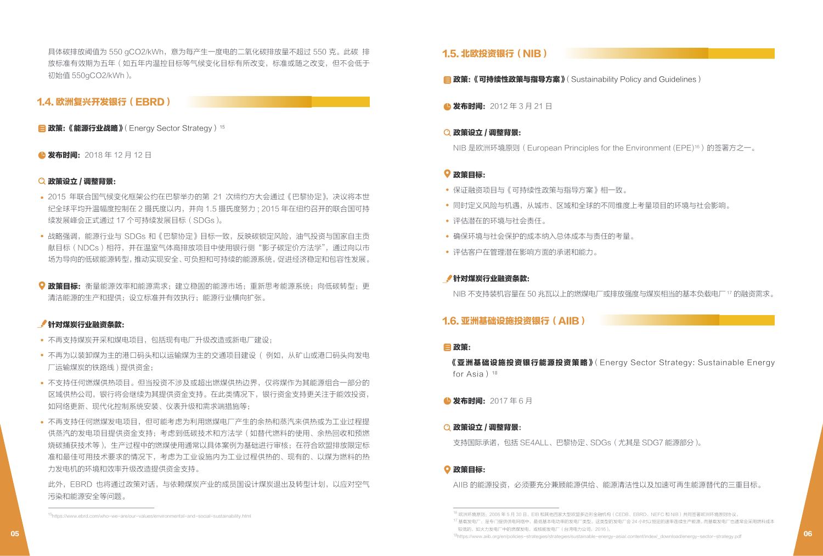具体碳排放阈值为 550 gCO2/kWh,意为每产生一度电的二氧化碳排放量不超过 550 克。此碳 排 放标准有效期为五年(如五年内温控目标等气候变化目标有所改变,标准或随之改变,但不会低于 初始值 550gCO2/kWh)。

# 1.4. 欧洲复兴开发银行(EBRD)

**目政策:《能源行业战略》**(Energy Sector Strategy)<sup>15</sup>

#### ● 发布时间: 2018年12月12日

#### 政策设立 / 调整背景:

- 2015 年联合国气候变化框架公约在巴黎举办的第 21 次缔约方大会通过《巴黎协定》,决议将本世 纪全球平均升温幅度控制在 2 摄氏度以内,并向 1.5 摄氏度努力 ; 2015 年在纽约召开的联合国可持 续发展峰会正式通过 17 个可持续发展目标(SDGs)。
- 战略强调,能源行业与 SDGs 和《巴黎协定》目标一致,反映碳锁定风险,油气投资与国家自主贡 献目标(NDCs)相符,并在温室气体高排放项目中使用银行侧"影子碳定价方法学",通过向以市 场为导向的低碳能源转型,推动实现安全、可负担和可持续的能源系统,促进经济稳定和包容性发展。
- 政策目标: 衡量能源效率和能源需求;建立稳固的能源市场; 重新思考能源系统; 向低碳转型; 更 清洁能源的生产和提供;设立标准并有效执行;能源行业横向扩张。

#### 针对煤炭行业融资条款:

- 不再支持煤炭开采和煤电项目,包括现有电厂升级改造或新电厂建设;
- 不再为以装卸煤为主的港口码头和以运输煤为主的交通项目建设 ( 例如, 从矿山或港口码头向发电 厂运输煤炭的铁路线 ) 提供资金;
- 不支持任何燃煤供热项目。但当投资不涉及或超出燃煤供热边界,仅将煤作为其能源组合一部分的 区域供热公司,银行将会继续为其提供资金支持。在此类情况下,银行资金支持更关注于能效投资, 如网络更新、现代化控制系统安装、仪表升级和需求端措施等;
- 不再支持任何燃煤发电项目,但可能考虑为利用燃煤电厂产生的余热和蒸汽来供热或为工业过程提 供蒸汽的发电项目提供资金支持;考虑到低碳技术和方法学(如替代燃料的使用、余热回收和预燃 烧碳捕获技术等),生产过程中的燃煤使用通常以具体案例为基础进行审核;在符合欧盟排放限定标 准和最佳可用技术要求的情况下,考虑为工业设施内为工业过程供热的、现有的、以煤为燃料的热 力发电机的环境和效率升级改造提供资金支持。

此外,EBRD 也将通过政策对话,与依赖煤炭产业的成员国设计煤炭退出及转型计划,以应对空气 污染和能源安全等问题。

# 1.5. 北欧投资银行(NIB **)**

**目 政策:《可持续性政策与指导方案》**(Sustainability Policy and Guidelines)

**△ 发布时间:** 2012 年 3 月 21 日

#### 政策设立 / 调整背景:

NIB 是欧洲环境原则(European Principles for the Environment (EPE)16)的签署方之一。

#### 政策目标:

- 保证融资项目与《可持续性政策与指导方案》相一致。
- 同时定义风险与机遇,从城市、区域和全球的不同维度上考量项目的环境与社会影响。
- 评估潜在的环境与社会责任。
- 确保环境与社会保护的成本纳入总体成本与责任的考量。
- 评估客户在管理潜在影响方面的承诺和能力。

#### 针对煤炭行业融资条款:

NIB 不支持装机容量在 50 兆瓦以上的燃煤电厂或排放强度与煤炭相当的基本负载电厂17 的融资需求。

# 1.6. 亚洲基础设施投资银行(AIIB)

#### 政策:

《亚洲基础设施投资银行能源投资策略》(Energy Sector Strategy: Sustainable Energy for Asia) $18$ 

**4 发布时间: 2017年6月** 

#### ○政策设立 / 调整背景:

支持国际承诺,包括 SE4ALL、巴黎协定、 SDGs(尤其是 SDG7 能源部分)。

#### 政策目标:

AIIB 的能源投资,必须要充分兼顾能源供给、能源清洁性以及加速可再生能源替代的三重目标。

<sup>&</sup>lt;sup>15</sup> 欧洲环境原则:2006 年 5 月 30 日,EIB 和其他四家大型欧盟多边形金融机构(CEDB、EBRD、NEFC 和 NIB)共同签署欧洲环境原则协议。<br>15https://www.ebrd.com/who-we-are/our-values/environmental-and-social-sustainability.html

<sup>17</sup> 基载发电厂:是专门提供供电网络中,最低基本电功率的发电厂类型。这类型的发电厂会 24 小时以恒定的速率连续生产能源。 而基载发电厂也通常会采用燃料成本 较低的,如火力发电厂中的燃煤发电,或核能发电厂(台湾电力公司,2016)。

<sup>18</sup>https://www.aiib.org/en/policies-strategies/strategies/strategies/sustainable-energy-asia/.content/index/\_download/energy-sector-strategy.pdf **06**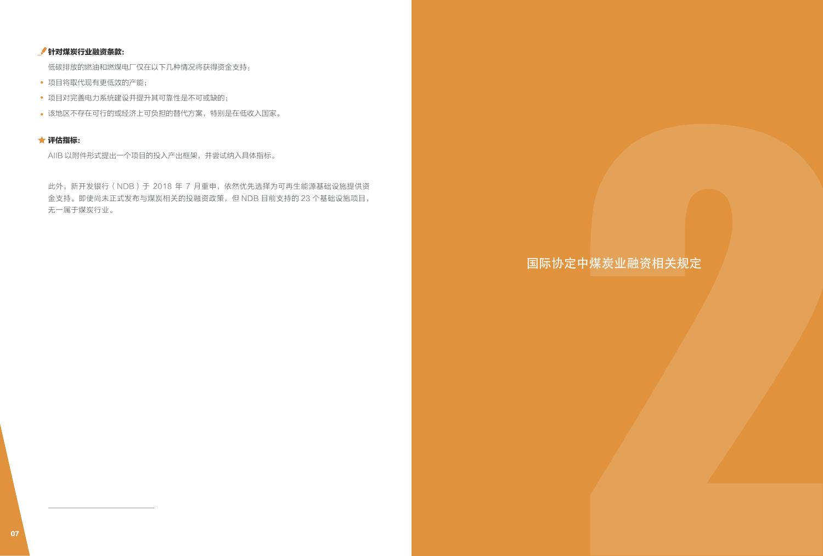# 针对煤炭行业融资条款:

低碳排放的燃油和燃煤电厂仅在以下几种情况将获得资金支持:

- 项目将取代现有更低效的产能;
- 项目对完善电力系统建设并提升其可靠性是不可或缺的;
- 该地区不存在可行的或经济上可负担的替代方案,特别是在低收入国家。

# 评估指标:

AIIB 以附件形式提出一个项目的投入产出框架,并尝试纳入具体指标。

此外,新开发银行(NDB)于 2018 年 7 月重申,依然优先选择为可再生能源基础设施提供资 金支持。即使尚未正式发布与煤炭相关的投融资政策,但 NDB 目前支持的 23 个基础设施项目, 无一属于煤炭行业。 <sup>07</sup> 2

# 国际协定中煤炭业融资相关规定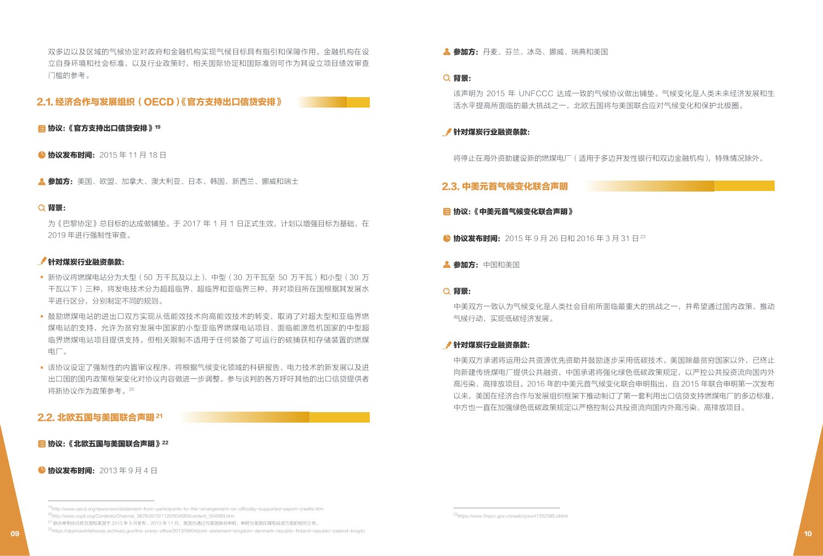双多边以及区域的气候协定对政府和金融机构实现气候目标具有指引和保障作用。金融机构在设 立自身环境和社会标准,以及行业政策时,相关国际协定和国际准则可作为其设立项目绩效审查 门槛的参考。

### 2.1. 经济合作与发展组织(OECD)《官方支持出口信贷安排》

■协议:《官方支持出口信贷安排》19

**4 协议发布时间:** 2015 年 11 月 18 日

A. 参加方:美国、欧盟、加拿大、澳大利亚、日本、韩国、新西兰、挪威和瑞士

#### Q 背景:

为《巴黎协定》总目标的达成做铺垫。于 2017 年 1 月 1 日正式生效,计划以增强目标为基础,在 2019 年进行强制性审查。

#### 针对煤炭行业融资条款:

- 新协议将燃煤电站分为大型 (50 万千瓦及以上)、中型 (30 万千瓦至 50 万千瓦) 和小型 (30 万 千瓦以下)三种,将发电技术分为超超临界、超临界和亚临界三种,并对项目所在国根据其发展水 平进行区分,分别制定不同的规则。
- 鼓励燃煤电站的进出口双方实现从低能效技术向高能效技术的转变,取消了对超大型和亚临界燃 煤电站的支持,允许为贫穷发展中国家的小型亚临界燃煤电站项目、面临能源危机国家的中型超 临界燃煤电站项目提供支持。但相关限制不适用于任何装备了可运行的碳捕获和存储装置的燃煤 电厂。
- 该协议设定了强制性的内置审议程序,将根据气候变化领域的科研报告、电力技术的新发展以及进 出口国的国内政策框架变化对协议内容做进一步调整。参与谈判的各方呼吁其他的出口信贷提供者 将新协议作为政策参考。20

# 2.2. 北欧五国与美国联合声明 21

#### ■协议:《北欧五国与美国联合声明》22

**+ 协议发布时间:** 2013年9月4日

A. 参加方: 丹麦、芬兰、冰岛、挪威、瑞典和美国

#### Q 背景:

该声明为 2015 年 UNFCCC 达成一致的气候协议做出铺垫。气候变化是人类未来经济发展和生 活水平提高所面临的最大挑战之一,北欧五国将与美国联合应对气候变化和保护北极圈。

#### 针对煤炭行业融资条款:

将停止在海外资助建设新的燃煤电厂(适用于多边开发性银行和双边金融机构),特殊情况除外。

### 2.3. 中美元首气候变化联合声明

#### 日 协议:《中美元首气候变化联合声明》

**● 协议发布时间:** 2015 年 9 月 26 日和 2016 年 3 月 31 日<sup>23</sup>

▲ 参加方: 中国和美国

#### **Q 背景:**

中美双方一致认为气候变化是人类社会目前所面临最重大的挑战之一,并希望通过国内政策,推动 气候行动,实现低碳经济发展。

#### 针对煤炭行业融资条款:

中美双方承诺将运用公共资源优先资助并鼓励逐步采用低碳技术。美国除最贫穷国家以外,已终止 向新建传统煤电厂提供公共融资,中国承诺将强化绿色低碳政策规定,以严控公共投资流向国内外 高污染、高排放项目。2016 年的中美元首气候变化联合申明指出,自 2015 年联合申明第一次发布 以来,美国在经济合作与发展组织框架下推动制订了第一套利用出口信贷支持燃煤电厂的多边标准, ● 物産業制度、2015年11月19日<br>
全国鉄、サイドが、1922、1937、1947年12、1947、1947、1947年12、1947年12、1948、1948年12、1948年12、1948年12、1948年12、1948年12、1948年12、1948年12、1948年12、1948年12、1948年12、1948年12、1948年12、1948年12、1948年12、1948年12、1948年12、1948年12、194

<sup>19</sup>http://www.oecd.org/newsroom/statement-from-participants-to-the-arrangement-on-officially-supported-export-credits.htm 20http://www.ccpit.org/Contents/Channel\_3876/2015/1120/504589/content\_504589.htm

<sup>&</sup>lt;sup>21</sup> 联合申明由北欧五国和美国于 2013 年 9 月发布。2013 年 11 月,英国也通过与美国联合申明,申明与美国在煤电投资方面的相同立场。

<sup>22</sup>https://obamawhitehouse.archives.gov/the-press-office/2013/09/04/joint-statement-kingdom-denmark-republic-finland-republic-iceland-kingdo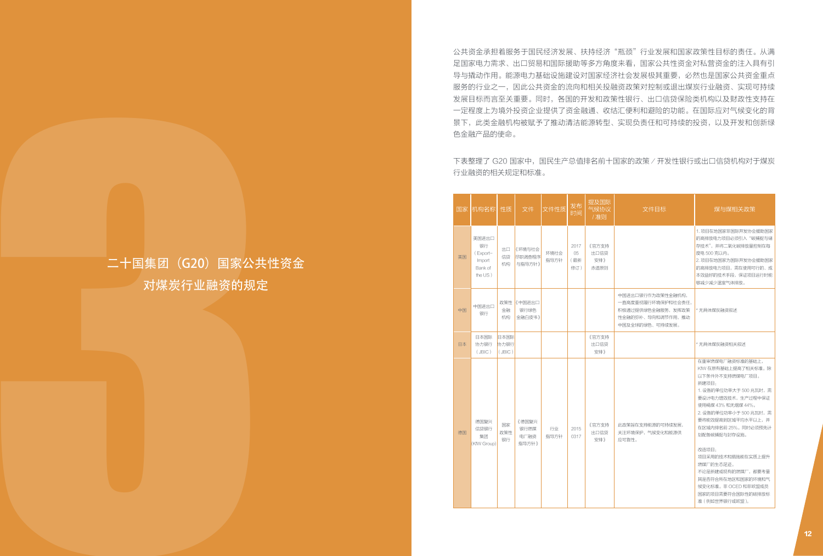公共资金承担着服务于国民经济发展、扶持经济"瓶颈"行业发展和国家政策性目标的责任。从满 足国家电力需求、出口贸易和国际援助等多方角度来看,国家公共性资金对私营资金的注入具有引 导与撬动作用。能源电力基础设施建设对国家经济社会发展极其重要,必然也是国家公共资金重点 服务的行业之一,因此公共资金的流向和相关投融资政策对控制或退出煤炭行业融资、实现可持续 发展目标而言至关重要。同时,各国的开发和政策性银行、出口信贷保险类机构以及财政性支持在 一定程度上为境外投资企业提供了资金融通、收结汇便利和避险的功能。在国际应对气候变化的背 景下,此类金融机构被赋予了推动清洁能源转型、实现负责任和可持续的投资,以及开发和创新绿 色金融产品的使命。

| 下表整理了 G20 国家中, 国民生产总值排名前十国家的政策 / 开发性银行或出口信贷机构对于煤炭<br>行业融资的相关规定和标准。<br>提及国际<br>气候协议<br>文件性质 发布<br>文件目标<br>煤与煤相关政策<br>国家  机构名称  性质   文件<br>/准则<br>1. 项目在地国家非国际开发协会援助国家<br>的高排放电力项目必须引入"碳捕捉与储<br>美国进出口<br>存技术",并将二氧化碳排放量控制在每<br>银行<br>2017<br>《官方支持<br>出口 《环境与社会<br>环境社会<br>05<br>出口信贷<br>度电 500 克以内。<br>(Export-<br>信贷 尽职调查程序<br>美国<br>二十国集团 (G20) 国家公共性资金<br>(最新<br>2. 项目在地国家为国际开发协会援助国家<br>指导方针<br>安排》<br>Import<br>机构 与指导方针》<br>的高排放电力项目,需在使用可行的、成<br>Bank of<br>修订)<br>赤道原则<br>本效益好的技术手段,保证项目运行时能<br>the US)<br>对煤炭行业融资的规定<br>够减少减少温室气体排放。<br>中国进出口银行作为政策性金融机构,<br>一直高度重视履行环境保护和社会责任,<br>政策性《中国进出口<br>中国进出口<br>银行绿色<br>中国<br>积极通过提供绿色金融服务,发挥政策<br>金融<br>* 无具体煤炭融资叙述<br>银行<br>机构 金融白皮书》<br>性金融的弥补、导向和调节作用,推动<br>中国及全球的绿色、可持续发展。<br>日本国际 日本国际<br>《官方支持<br>协力银行<br>* 无具体煤炭融资相关叙述<br>日本<br>协力银行<br>出口信贷<br>$\left(\right.$ JBIC $\right)$<br>(JBIC)<br>安排》<br>在重审燃煤电厂融资标准的基础上,<br>KfW 在原有基础上提高了相关标准。除<br>以下条件外不支持燃煤电厂项目。<br>新建项目:<br>1. 设备的单位功率大于 500 兆瓦时, 需<br>要设计电力增效技术,生产过程中保证<br>使用褐煤 43% 和无烟煤 44%。<br>2. 设备的单位功率小于500 兆瓦时,需<br>要将能效提高到区域平均水平以上,并<br>德国复兴<br>《德国复兴<br>国家<br>《官方支持<br>此政策旨在支持能源的可持续发展,<br>在区域内排名前 25%。同时必须预先计<br>2015<br>银行燃煤<br>行业<br>信贷银行<br>关注环境保护,气候变化和能源供<br>德国<br>政策性<br>出口信贷<br>划配备碳捕捉与封存设施。<br>指导方针<br>0317<br>集团<br>电厂融资<br>银行<br>安排》<br>应可靠性。<br>(KfW Group)<br>指导方针》<br>改造项目:<br>项目采用的技术和措施能在实质上提升<br>燃煤厂的生态足迹。<br>不论是新建或现有的燃煤厂,都要考量<br>其是否符合所在地区和国家的环境和气<br>候变化标准。非 OCED 和非欧盟成员<br>国家的项目需要符合国际性的碳排放标<br>准 (例如世界银行或欧盟)。 |  |  | 色金融产品的使命。 |  |  |  |  |
|-----------------------------------------------------------------------------------------------------------------------------------------------------------------------------------------------------------------------------------------------------------------------------------------------------------------------------------------------------------------------------------------------------------------------------------------------------------------------------------------------------------------------------------------------------------------------------------------------------------------------------------------------------------------------------------------------------------------------------------------------------------------------------------------------------------------------------------------------------------------------------------------------------------------------------------------------------------------------------------------------------------------------------------------------------------------------------------------------------------------------------------------------------------------------------------------------------------------------------------------------------------------------------------------------------------------------------------------------------------------------------------------------------------------------------------------------------|--|--|-----------|--|--|--|--|
|                                                                                                                                                                                                                                                                                                                                                                                                                                                                                                                                                                                                                                                                                                                                                                                                                                                                                                                                                                                                                                                                                                                                                                                                                                                                                                                                                                                                                                                     |  |  |           |  |  |  |  |
|                                                                                                                                                                                                                                                                                                                                                                                                                                                                                                                                                                                                                                                                                                                                                                                                                                                                                                                                                                                                                                                                                                                                                                                                                                                                                                                                                                                                                                                     |  |  |           |  |  |  |  |
|                                                                                                                                                                                                                                                                                                                                                                                                                                                                                                                                                                                                                                                                                                                                                                                                                                                                                                                                                                                                                                                                                                                                                                                                                                                                                                                                                                                                                                                     |  |  |           |  |  |  |  |
|                                                                                                                                                                                                                                                                                                                                                                                                                                                                                                                                                                                                                                                                                                                                                                                                                                                                                                                                                                                                                                                                                                                                                                                                                                                                                                                                                                                                                                                     |  |  |           |  |  |  |  |
|                                                                                                                                                                                                                                                                                                                                                                                                                                                                                                                                                                                                                                                                                                                                                                                                                                                                                                                                                                                                                                                                                                                                                                                                                                                                                                                                                                                                                                                     |  |  |           |  |  |  |  |
|                                                                                                                                                                                                                                                                                                                                                                                                                                                                                                                                                                                                                                                                                                                                                                                                                                                                                                                                                                                                                                                                                                                                                                                                                                                                                                                                                                                                                                                     |  |  |           |  |  |  |  |

# 二十国集团 (G20) 国家公共性资金 对煤炭行业融资的规定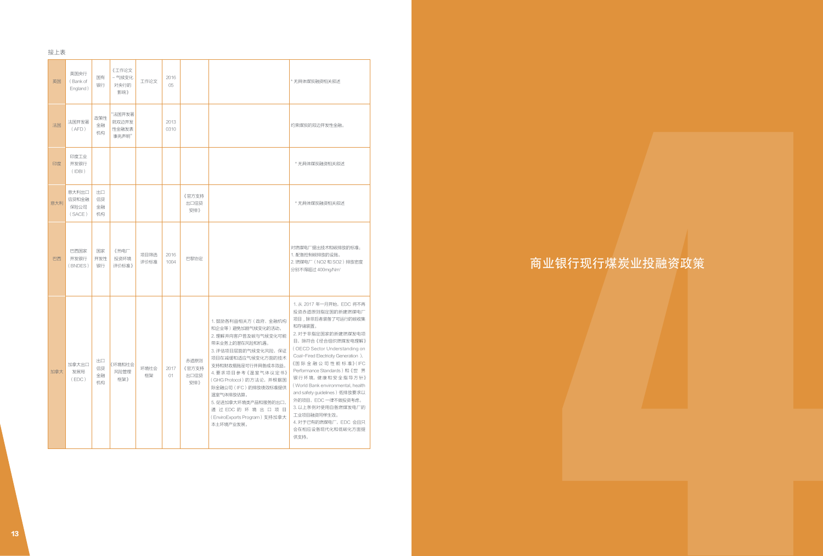| 接上表 |                                  |                      |                                   |                     |              |                              |                                                                                                                                                                                                                                                                                                                                                                                                                                                                                                                                                                                                                                                                                                                                                                                                |                |
|-----|----------------------------------|----------------------|-----------------------------------|---------------------|--------------|------------------------------|------------------------------------------------------------------------------------------------------------------------------------------------------------------------------------------------------------------------------------------------------------------------------------------------------------------------------------------------------------------------------------------------------------------------------------------------------------------------------------------------------------------------------------------------------------------------------------------------------------------------------------------------------------------------------------------------------------------------------------------------------------------------------------------------|----------------|
| 英国  | 英国央行<br>(Bank of<br>England)     | 国有<br>银行             | 《工作论文<br>- 气候变化<br>对央行的<br>影响》    | 工作论文                | 2016<br>05   |                              | * 无具体煤炭融资相关叙述                                                                                                                                                                                                                                                                                                                                                                                                                                                                                                                                                                                                                                                                                                                                                                                  |                |
| 法国  | 法国开发署<br>(AFD)                   | 政策性<br>金融<br>机构      | "法国开发署<br>就双边开发<br>性金融发表<br>事先声明" |                     | 2013<br>0310 |                              | 约束煤炭的双边开发性金融。                                                                                                                                                                                                                                                                                                                                                                                                                                                                                                                                                                                                                                                                                                                                                                                  |                |
| 印度  | 印度工业<br>开发银行<br>$($ IDBI $)$     |                      |                                   |                     |              |                              | * 无具体煤炭融资相关叙述                                                                                                                                                                                                                                                                                                                                                                                                                                                                                                                                                                                                                                                                                                                                                                                  |                |
| 意大利 | 意大利出口<br>信贷和金融<br>保险公司<br>(SACE) | 出口<br>信贷<br>金融<br>机构 |                                   |                     |              | 《官方支持<br>出口信贷<br>安排》         | * 无具体煤炭融资相关叙述                                                                                                                                                                                                                                                                                                                                                                                                                                                                                                                                                                                                                                                                                                                                                                                  |                |
| 巴西  | 巴西国家<br>开发银行<br>(BNDES)          | 国家<br>开发性<br>银行      | 《热电厂<br>投资环境<br>评价标准》             | 项目筛选 2016<br>评价标准   | 1004         | 巴黎协定                         | 对燃煤电厂提出技术和碳排放的标准:<br>1. 配备控制碳排放的设施。<br>2. 燃煤电厂 (NO2 和 SO2) 排放密度<br>分别不得超过 400mg/Nm <sup>3</sup>                                                                                                                                                                                                                                                                                                                                                                                                                                                                                                                                                                                                                                                                                                | 商业银行现行煤炭业投融资政策 |
| 加拿大 | 加拿大出口<br>发展局<br>(EDC)            | 出口<br>信贷<br>金融<br>机构 | 《环境和社会<br>风险管理<br>框架》             | 环境社会   2017  <br>框架 | 01           | 赤道原则<br>《官方支持<br>出口信贷<br>安排》 | 1. 从 2017 年一月开始, EDC 将不再<br>投资赤道原则指定国的新建燃煤电厂<br>项目,除非后者装备了可运行的碳收集<br>1. 鼓励各利益相关方 (政府、金融机构<br>和存储装置。<br>和企业等)避免加剧气候变化的活动。<br>2. 对于非指定国家的新建燃煤发电项<br>2. 理解并向客户普及碳与气候变化可能<br>目, 除符合《经合组织燃煤发电理解》<br>带来业务上的潜在风险和机遇。<br>(OECD Sector Understanding on<br>3. 评估项目层面的气候变化风险,保证<br>Coal-Fired Electricity Generation ).<br>项目在减缓和适应气候变化方面的技术<br>《国际金融公司性能标准》(IFC<br>支持和财政措施是可行并具备成本效益。<br>Performance Standards)和《世界<br>4. 要求项目参考《温室气体议定书》<br>银行环境,健康和安全指导方针》<br>(GHG Protocol) 的方法论, 并根据国<br>(World Bank environmental, health<br>际金融公司(IFC)的排放绩效标准提供<br>and safety guidelines)低排放要求以<br>温室气体排放估算。<br>外的项目, EDC 一律不做投资考虑。<br>5. 促进加拿大环境类产品和服务的出口,<br>3. 以上条例对使用自备燃煤发电厂的<br>通过EDC的环境出口项目<br>工业项目融资同样生效。<br>(EnviroExports Program)支持加拿大<br>4. 对于已有的燃煤电厂,EDC 会且只<br>本土环境产业发展。<br>会在相应设备现代化和低碳化方面提<br>供支持。 |                |
|     |                                  |                      |                                   |                     |              |                              |                                                                                                                                                                                                                                                                                                                                                                                                                                                                                                                                                                                                                                                                                                                                                                                                |                |
|     |                                  |                      |                                   |                     |              |                              |                                                                                                                                                                                                                                                                                                                                                                                                                                                                                                                                                                                                                                                                                                                                                                                                |                |
|     |                                  |                      |                                   |                     |              |                              |                                                                                                                                                                                                                                                                                                                                                                                                                                                                                                                                                                                                                                                                                                                                                                                                |                |
|     |                                  |                      |                                   |                     |              |                              |                                                                                                                                                                                                                                                                                                                                                                                                                                                                                                                                                                                                                                                                                                                                                                                                |                |
|     |                                  |                      |                                   |                     |              |                              |                                                                                                                                                                                                                                                                                                                                                                                                                                                                                                                                                                                                                                                                                                                                                                                                |                |

# 商业银行现行煤炭业投融资政策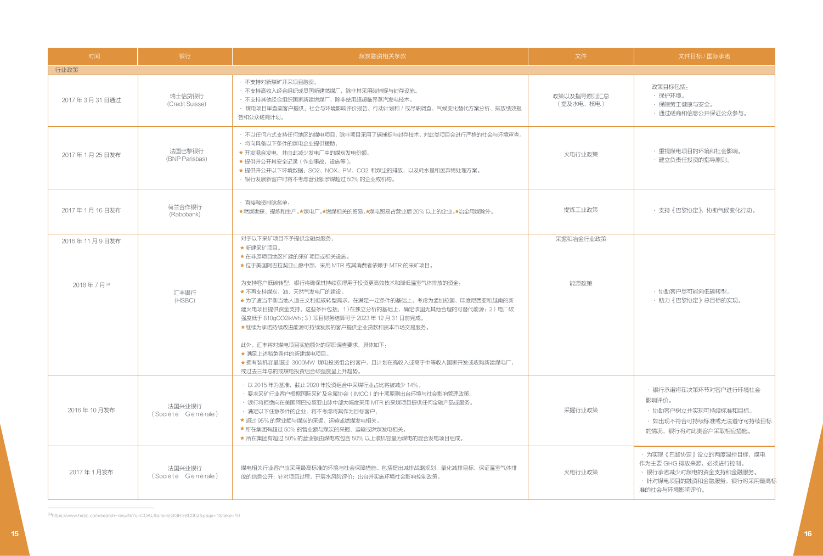| 时间                        | 银行                           | 煤炭融资相关条款                                                                                                                                                                                                                                                                                                                                                                                                                                                                                                                            | 文件                      | 文件目标 /国际承诺                                                                                                              |  |
|---------------------------|------------------------------|-------------------------------------------------------------------------------------------------------------------------------------------------------------------------------------------------------------------------------------------------------------------------------------------------------------------------------------------------------------------------------------------------------------------------------------------------------------------------------------------------------------------------------------|-------------------------|-------------------------------------------------------------------------------------------------------------------------|--|
| 行业政策                      |                              |                                                                                                                                                                                                                                                                                                                                                                                                                                                                                                                                     |                         |                                                                                                                         |  |
| 2017年3月31日通过              | 瑞士信贷银行<br>(Credit Suisse)    | · 不支持对新煤矿开采项目融资。<br>• 不支持高收入经合组织成员国新建燃煤厂, 除非其采用碳捕捉与封存设施。<br>• 不支持其他经合组织国家新建燃煤厂, 除非使用超超临界蒸汽发电技术。<br>• 煤电项目审查需客户提供:社会与环境影响评价报告、行动计划和 / 或尽职调查、气候变化替代方案分析、排放绩效报<br>告和公众磋商计划。                                                                                                                                                                                                                                                                                                                                                            | 政策以及指导原则汇总<br>(提及水电、核电) | 政策目标包括:<br>・保护环境。<br>・保障劳工健康与安全。<br>・通过磋商和信息公开保证公众参与。                                                                   |  |
| 2017年1月25日发布              | 法国巴黎银行<br>(BNP Parisbas)     | • 不以任何方式支持任何地区的煤电项目,除非项目采用了碳捕捉与封存技术,对此类项目会进行严格的社会与环境审查。<br>· 将向具备以下条件的煤电企业提供援助:<br>★ 开发混合发电, 并由此减少发电厂中的煤炭发电份额。<br>★ 提供并公开其安全记录 (作业事故, 设施等)。<br>★提供并公开以下环境数据: SO2、NOX、PM、CO2 和煤尘的排放,以及耗水量和废弃物处理方案。<br>• 银行发展新客户时将不考虑营业额涉煤超过 50% 的企业或机构。                                                                                                                                                                                                                                                                                              | 火电行业政策                  | ・重视煤电项目的环境和社会影响。<br>・建立负责任投资的指导原则。                                                                                      |  |
| 2017年1月16日发布              | 荷兰合作银行<br>(Rabobank)         | · 直接融资排除名单:<br>★燃煤勘探、提炼和生产。★煤电厂。★燃煤相关的贸易。★煤电贸易占营业额 20% 以上的企业。★冶金用煤除外。                                                                                                                                                                                                                                                                                                                                                                                                                                                               | 提炼工业政策                  | • 支持《巴黎协定》,协助气候变化行动。                                                                                                    |  |
| 2016年11月9日发布<br>2018年7月24 | 汇丰银行<br>(HSBC)               | 对于以下采矿项目不予提供金融类服务:<br>★新建采矿项目。<br>★在非原项目地区扩建的采矿项目或相关设施。<br>★ 位于美国阿巴拉契亚山脉中部, 采用 MTR 或其消费者依赖于 MTR 的采矿项目。<br>为支持客户低碳转型,银行将确保其持续获得用于投资更高效技术和降低温室气体排放的资金:<br>★ 不再支持煤炭、油、天然气发电厂的建设。<br>★为了适当平衡当地人道主义和低碳转型需求,在满足一定条件的基础上,考虑为孟加拉国、印度尼西亚和越南的新<br>建火电项目提供资金支持。这些条件包括:1)在独立分析的基础上,确定该国无其他合理的可替代能源;2)电厂碳<br>强度低于 810gCO2/kWh; 3) 项目财务结算可于 2023年12月 31日前完成。<br>★继续为承诺持续改进能源可持续发展的客户提供企业贷款和资本市场交易服务。<br>此外, 汇丰将对煤电项目实施额外的尽职调查要求, 具体如下:<br>★ 满足上述豁免条件的新建煤申项目。<br>★拥有装机容量超过 3000MW 煤电投资组合的客户,且计划在高收入或高于中等收入国家开发或收购新建煤电厂,<br>或过去三年总的或煤电投资组合碳强度呈上升趋势。 | 采掘和冶金行业政策<br>能源政策       | ・协助客户尽可能向低碳转型。<br>・助力《巴黎协定》总目标的实现。                                                                                      |  |
| 2016年10月发布                | 法国兴业银行<br>(Société Générale) | · 以 2015 年为基准, 截止 2020 年投资组合中采煤行业占比将被减少 14%。<br>· 要求采矿行业客户根据国际采矿及金属协会(IMCC)的十项原则出台环境与社会影响管理政策。<br>• 银行将拒绝向在美国阿巴拉契亚山脉中部大幅度采用 MTR 的采煤项目提供任何金融产品或服务。<br>· 满足以下任意条件的企业, 将不考虑将其作为目标客户:<br>★ 超过 95% 的营业额与煤炭的采掘、运输或燃煤发电相关。<br>★ 所在集团有超过 50% 的营业额与煤炭的采掘、运输或燃煤发电相关。<br>★ 所在集团有超过 50% 的营业额由煤电或包含 50% 以上装机容量为煤电的混合发电项目组成。                                                                                                                                                                                                                      | 采掘行业政策                  | ・ 银行承诺将在决策环节对客户进行环境社会<br>影响评价。<br>・ 协助客户树立并实现可持续标准和目标。<br>• 如出现不符合可持续标准或无法遵守可持续目标<br>的情况,银行将对此类客户采取相应措施。                |  |
| 2017年1月发布                 | 法国兴业银行<br>(Société Générale) | 煤电相关行业客户应采用最高标准的环境与社会保障措施。包括提出减排战略规划,量化减排目标,保证温室气体排<br>放的信息公开;针对项目过程,开展水风险评价;出台并实施环境社会影响控制政策。                                                                                                                                                                                                                                                                                                                                                                                                                                       | 火电行业政策                  | • 为实现《巴黎协定》设立的两度温控目标,煤电<br>作为主要 GHG 排放来源,必须进行控制。<br>• 银行承诺减少对煤电的资金支持和金融服务。<br>· 针对煤电项目的融资和金融服务,银行将采用最高标<br>准的社会与环境影响评价。 |  |

24https://www.hsbc.com/search-results?q=COAL&site=EGGHSBC002&page=1&take=10

 $\sim$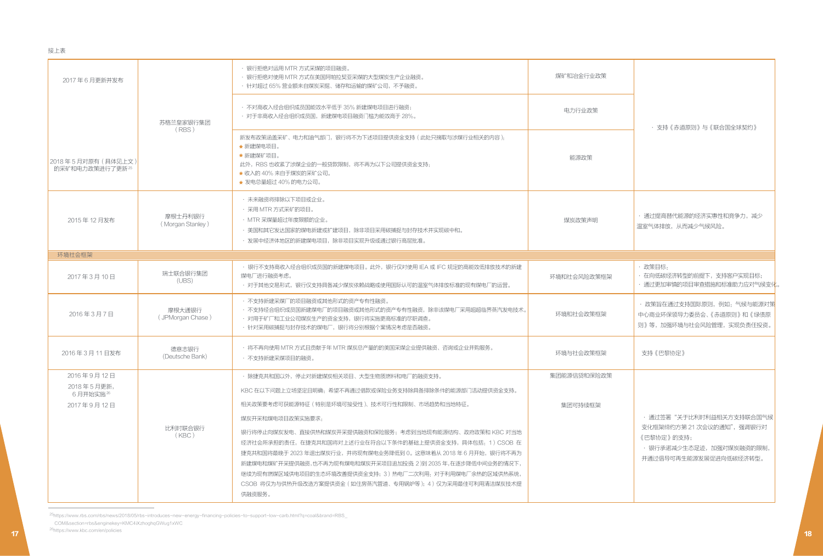|                                                                        |                             | · 银行拒绝对运用 MTR 方式采煤的项目融资。                                                                                                                                                                                                                                                                                                |                             |                                                                                    |
|------------------------------------------------------------------------|-----------------------------|-------------------------------------------------------------------------------------------------------------------------------------------------------------------------------------------------------------------------------------------------------------------------------------------------------------------------|-----------------------------|------------------------------------------------------------------------------------|
|                                                                        | 苏格兰皇家银行集团<br>(RBS)          | · 银行拒绝对使用 MTR 方式在美国阿帕拉契亚采煤的大型煤炭生产企业融资。<br>· 针对超过 65% 营业额来自煤炭采掘、储存和运输的煤矿公司, 不予融资。<br>• 不对高收入经合组织成员国能效水平低于 35% 新建煤电项目进行融资;<br>· 对于非高收入经合组织成员国,新建煤电项目融资门槛为能效高于 28%。<br>新发布政策涵盖采矿、电力和油气部门,银行将不为下述项目提供资金支持 (此处只摘取与涉煤行业相关的内容).<br>★ 新建煤电项目。<br>★ 新建煤矿项目。<br>此外, RBS 也收紧了涉煤企业的一般贷款限制, 将不再为以下公司提供资金支持:<br>★ 收入的 40% 来自于煤炭的采矿公司。 | 煤矿和冶金行业政策<br>电力行业政策<br>能源政策 | · 支持《赤道原则》与《联合国全球契约》                                                               |
| 2017年6月更新并发布<br>2015年12月发布                                             | 摩根士丹利银行<br>(Morgan Stanley) | ★ 发电总量超过 40% 的电力公司。<br>• 未来融资将排除以下项目或企业。<br>· 采用 MTR 方式采矿的项目。<br>· MTR 采煤量超过年度限额的企业。<br>· 美国和其它发达国家的煤电新建或扩建项目, 除非项目采用碳捕捉与封存技术并实现碳中和。<br>• 发展中经济体地区的新建煤电项目, 除非项目实现升级或通过银行高层批准。                                                                                                                                           | 煤炭政策声明                      | · 通过提高替代能源的经济实惠性和竞争力, 减少<br>温室气体排放,从而减少气候风险。                                       |
|                                                                        |                             | · 银行不支持高收入经合组织成员国的新建煤电项目。此外,银行仅对使用 IEA 或 IFC 规定的高能效低排放技术的新建                                                                                                                                                                                                                                                             |                             | 政策目标:                                                                              |
| 2017年3月10日                                                             | 瑞士联合银行集团<br>(UBS)           | 煤电厂进行融资考虑。<br>• 对于其他交易形式,银行仅支持具备减少煤炭依赖战略或使用国际认可的温室气体排放标准的现有煤电厂的运营。                                                                                                                                                                                                                                                      | 环境和社会风险政策框架                 | 在向低碳经济转型的前提下,支持客户实现目标;<br>· 通过更加审慎的项目审查措施和标准助力应对气候变化。                              |
| 2016年3月7日                                                              | 摩根大通银行<br>(JPMorgan Chase)  | · 不支持新建采煤厂的项目融资或其他形式的资产专有性融资。<br>• 不支持经合组织成员国新建煤电厂的项目融资或其他形式的资产专有性融资,除非该煤电厂采用超超临界蒸汽发电技术。<br>• 对用于矿厂和工业公司煤炭生产的资金支持,银行将实施更高标准的尽职调查。<br>• 针对采用碳捕捉与封存技术的煤电厂,银行将分别根据个案情况考虑是否融资。                                                                                                                                              | 环境和社会政策框架                   | · 政策旨在通过支持国际原则,例如: 气候与能源对策<br>中心商业环保领导力委员会、《赤道原则》和《绿债原<br>则》等,加强环境与社会风险管理,实现负责任投资。 |
| 接上表<br>2018年5月对原有 (具体见上文)<br>的采矿和电力政策进行了更新25<br>环境社会框架<br>2016年3月11日发布 | 德意志银行<br>(Deutsche Bank)    | · 将不再向使用 MTR 方式且贡献于年 MTR 煤炭总产量的的美国采煤企业提供融资、咨询或企业并购服务。<br>· 不支持新建采煤项目的融资。                                                                                                                                                                                                                                                | 环境与社会政策框架                   | 支持《巴黎协定》                                                                           |

25https://www.rbs.com/rbs/news/2018/05/rbs-introduces-new-energy-financing-policies-to-support-low-carb.html?q=coal&brand=RBS\_ COM&section=rbs&enginekey=KMC4iXzhoghqGWug1xWC

26https://www.kbc.com/en/policies 17 Мартина, <u>постания и постания и постания и постания и постания и постания и постания и постания и постания и п</u>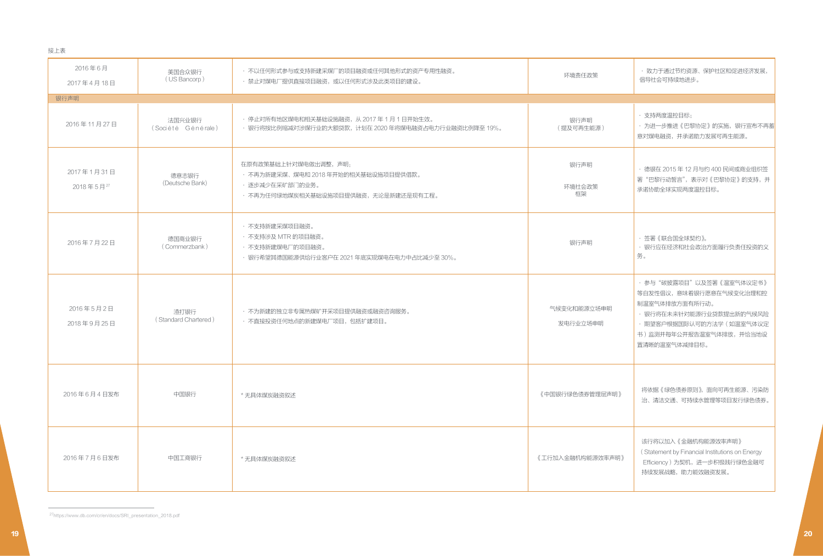接上表

| 2016年6月<br>2017年4月18日   | 美国合众银行<br>(US Bancorp)       | ・ 不以任何形式参与或支持新建采煤厂的项目融资或任何其他形式的资产专用性融资。<br>· 禁止对煤电厂提供直接项目融资, 或以任何形式涉及此类项目的建设。                                           | 环境责任政策                  | •致力于通过节约资源、保护社区和促进经济发展,<br>倡导社会可持续地进步。                                                                                                                                     |
|-------------------------|------------------------------|-------------------------------------------------------------------------------------------------------------------------|-------------------------|----------------------------------------------------------------------------------------------------------------------------------------------------------------------------|
| 银行声明                    |                              |                                                                                                                         |                         |                                                                                                                                                                            |
| 2016年11月27日             | 法国兴业银行<br>(Société Générale) | • 停止对所有地区煤电和相关基础设施融资,从 2017 年 1 月 1 日开始生效。<br>· 银行将按比例缩减对涉煤行业的大额贷款, 计划在 2020 年将煤电融资占电力行业融资比例降至 19%。                     | 银行声明<br>(提及可再生能源)       | • 支持两度温控目标;<br>· 为进一步推进《巴黎协定》的实施, 银行宣布不再蓄<br>意对煤电融资,并承诺助力发展可再生能源。                                                                                                          |
| 2017年1月31日<br>2018年5月27 | 德意志银行<br>(Deutsche Bank)     | 在原有政策基础上针对煤电做出调整,声明:<br>• 不再为新建采煤、煤电和 2018 年开始的相关基础设施项目提供借款。<br>· 逐步减少在采矿部门的业务。<br>• 不再为任何绿地煤炭相关基础设施项目提供融资,无论是新建还是现有工程。 | 银行声明<br>环境社会政策<br>框架    | · 德银在 2015 年 12 月与约 400 民间或商业组织签<br>署"巴黎行动誓言",表示对《巴黎协定》的支持,并<br>承诺协助全球实现两度温控目标。                                                                                            |
| 2016年7月22日              | 德国商业银行<br>(Commerzbank)      | ・不支持新建采煤项目融资。<br>· 不支持涉及 MTR 的项目融资。<br>・不支持新建煤电厂的项目融资。<br>・ 银行希望其德国能源供给行业客户在 2021 年底实现煤电在电力中占比减少至 30%。                  | 银行声明                    | · 签署《联合国全球契约》。<br>• 银行应在经济和社会政治方面履行负责任投资的义<br>务。                                                                                                                           |
| 2016年5月2日<br>2018年9月25日 | 渣打银行<br>(Standard Chartered) | ・不为新建的独立非专属热煤矿开采项目提供融资或融资咨询服务。<br>• 不直接投资任何地点的新建煤电厂项目,包括扩建项目。                                                           | 气候变化和能源立场申明<br>发电行业立场申明 | · 参与"碳披露项目"以及签署《温室气体议定书》<br>等自发性倡议,意味着银行愿意在气候变化治理和控<br>制温室气体排放方面有所行动。<br>・ 银行将在未来针对能源行业贷款提出新的气候风险<br>· 期望客户根据国际认可的方法学 (如温室气体议定<br>书)监测并每年公开报告温室气体排放,并恰当地设<br>置清晰的温室气体减排目标。 |
| 2016年6月4日发布             | 中国银行                         | * 无具体煤炭融资叙述                                                                                                             | 《中国银行绿色债券管理层声明》         | 将依据《绿色债券原则》,面向可再生能源、污染防<br>治、清洁交通、可持续水管理等项目发行绿色债券。                                                                                                                         |
| 2016年7月6日发布             | 中国工商银行                       | * 无具体煤炭融资叙述                                                                                                             | 《工行加入金融机构能源效率声明》        | 该行将以加入《金融机构能源效率声明》<br>(Statement by Financial Institutions on Energy<br>Efficiency)为契机,进一步积极践行绿色金融可<br>持续发展战略, 助力能效融资发展。                                                   |

27https://www.db.com/cr/en/docs/SRI\_presentation\_2018.pdf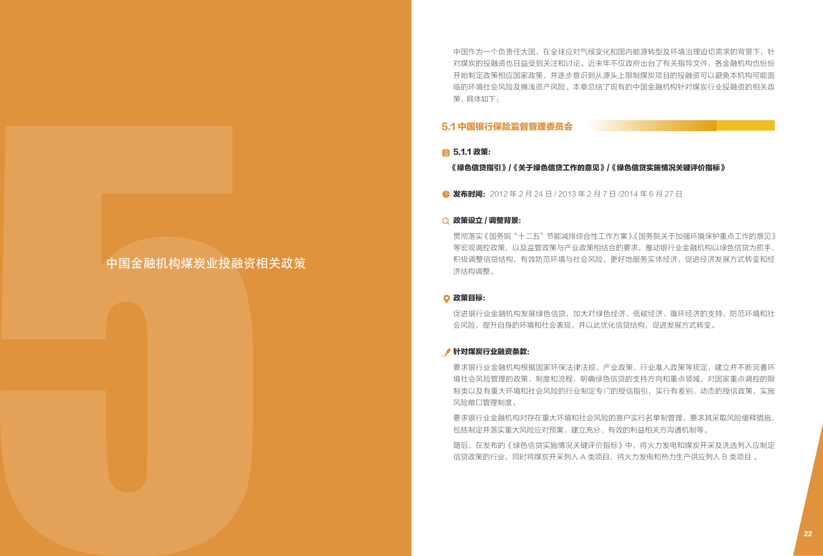中国作为一个负责任大国,在全球应对气候变化和国内能源转型及环境治理迫切需求的背景下,针 对煤炭的投融资也日益受到关注和讨论。近来年不仅政府出台了有关指导文件,各金融机构也纷纷 开始制定政策相应国家政策,并逐步意识到从源头上限制煤炭项目的投融资可以避免本机构可能面 临的环境社会风险及搁浅资产风险。本章总结了现有的中国金融机构针对煤炭行业投融资的相关政 策, 具体如下: 球应对气候变化和国内能源转型及环境治理迫切需求的背景下,针<br>和讨论。近来年不仅政府出台了有关指导文件,各金融机构也纷纷<br>逐步意识到从源头上限制煤炭项目的投融资可以避免本机构可能面<br>险。本章总结了现有的中国金融机构针对煤炭行业投融资的相关政

### 5.1 中国银行保险监督管理委员会

#### ■ 5.1.1 政策:

《绿色信贷指引》/《关于绿色信贷工作的意见》/《绿色信贷实施情况关键评价指标》

● 发布时间: 2012年2月24日 / 2013年2月7日 / 2014年6月 27日

#### 政策设立 / 调整背景:

贯彻落实《国务院"十二五"节能减排综合性工作方案》、《国务院关于加强环境保护重点工作的意见》 等宏观调控政策,以及监管政策与产业政策相结合的要求,推动银行业金融机构以绿色信贷为抓手, 积极调整信贷结构,有效防范环境与社会风险,更好地服务实体经济,促进经济发展方式转变和经 济结构调整。 ■ 5.5.41 AM:<br>
9 は44 AM: 22 AM: 22 AM: 22 AM: 22 AM: 22 AM: 22 AM: 22 AM: 22 AM: 22 AM: 22 AM: 22 AM: 22 AM: 22 AM: 22 AM: 22 AM: 22 AM: 22 AM: 22 AM: 22 AM: 22 AM: 22 AM: 22 AM: 22 AM: 22 AM: 22 AM: 22 AM: 22 AM: 22 AM

#### 政策目标:

促进银行业金融机构发展绿色信贷,加大对绿色经济、低碳经济、循环经济的支持,防范环境和社 会风险,提升自身的环境和社会表现,并以此优化信贷结构,促进发展方式转变。

#### 针对煤炭行业融资条款:

要求银行业金融机构根据国家环保法律法规、产业政策、行业准入政策等规定,建立并不断完善环 境社会风险管理的政策、制度和流程,明确绿色信贷的支持方向和重点领域,对国家重点调控的限 制类以及有重大环境和社会风险的行业制定专门的授信指引,实行有差别、动态的授信政策,实施 风险敞口管理制度。

要求银行业金融机构对存在重大环境和社会风险的客户实行名单制管理,要求其采取风险缓释措施, 包括制定并落实重大风险应对预案,建立充分、有效的利益相关方沟通机制等。

随后,在发布的《绿色信贷实施情况关键评价指标》中,将火力发电和煤炭开采及洗选列入应制定 信贷政策的行业,同时将煤炭开采列入 A 类项目,将火力发电和热力生产供应列入 B 类项目 。

# 中国金融机构煤炭业投融资相关政策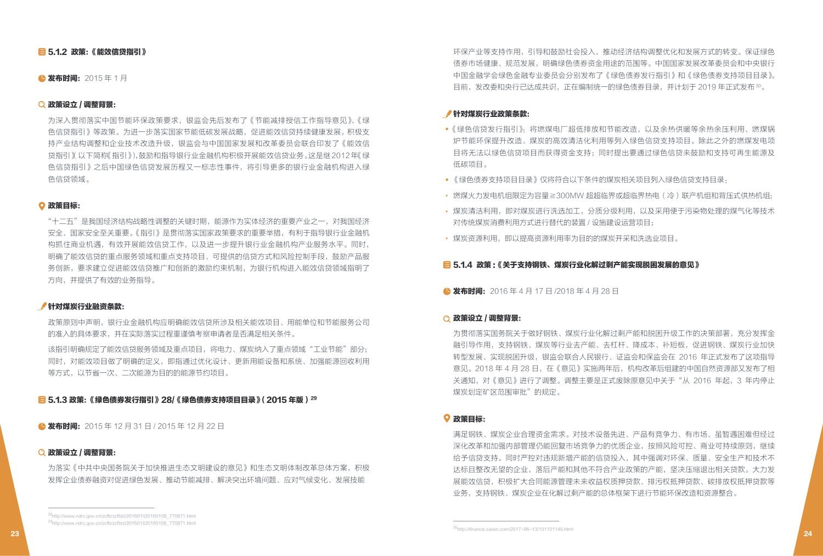### ■ 5.1.2 政策:《能效信贷指引》

#### ▲ 发布时间: 2015年1月

#### 政策设立 / 调整背景:

为深入贯彻落实中国节能环保政策要求,银监会先后发布了《节能减排授信工作指导意见》、《绿 色信贷指引》等政策。为进一步落实国家节能低碳发展战略,促进能效信贷持续健康发展, 积极支 持产业结构调整和企业技术改造升级,银监会与中国国家发展和改革委员会联合印发了《能效信 贷指引》(以下简称《指引》),鼓励和指导银行业金融机构积极开展能效信贷业务。这是继 2012 年《绿 色信贷指引》之后中国绿色信贷发展历程又一标志性事件,将引导更多的银行业金融机构进入绿 色信贷领域。

#### 政策目标:

"十二五"是我国经济结构战略性调整的关键时期,能源作为实体经济的重要产业之一,对我国经济 安全、国家安全至关重要。《指引》是贯彻落实国家政策要求的重要举措,有利于指导银行业金融机 构抓住商业机遇,有效开展能效信贷工作,以及进一步提升银行业金融机构产业服务水平。同时, 明确了能效信贷的重点服务领域和重点支持项目、可提供的信贷方式和风险控制手段,鼓励产品服 务创新,要求建立促进能效信贷推广和创新的激励约束机制,为银行机构进入能效信贷领域指明了 方向,并提供了有效的业务指导。

#### 针对煤炭行业融资条款:

政策原则中声明,银行业金融机构应明确能效信贷所涉及相关能效项目、用能单位和节能服务公司 的准入的具体要求,并在实际落实过程重谨慎考察申请者是否满足相关条件。

该指引明确规定了能效信贷服务领域及重点项目,将电力、煤炭纳入了重点领域"工业节能"部分; 同时,对能效项目做了明确的定义,即指通过优化设计、更新用能设备和系统、加强能源回收利用 等方式,以节省一次、二次能源为目的的能源节约项目。

<mark>目</mark> 5.1.3 政策:《绿色债券发行指引》28/《绿色债券支持项目目录》(2015 年版 ) <sup>29</sup>

● 发布时间: 2015 年 12 月 31 日 / 2015 年 12 月 22 日

#### 政策设立 / 调整背景:

为落实《中共中央国务院关于加快推进生态文明建设的意见》和生态文明体制改革总体方案,积极 发挥企业债券融资对促进绿色发展、推动节能减排、解决突出环境问题、应对气候变化、发展技能

#### 针对煤炭行业政策条款:

- 《绿色信贷发行指引》:将燃煤电厂超低排放和节能改造,以及余热供暖等余热余压利用、燃煤锅 炉节能环保提升改造、煤炭的高效清洁化利用等列入绿色信贷支持项目。除此之外的燃煤发电项 目将无法以绿色信贷项目而获得资金支持;同时提出要通过绿色信贷来鼓励和支持可再生能源及 低碳项目。
- 《绿色债券支持项目目录》仅将符合以下条件的煤炭相关项目列入绿色信贷支持目录.
- ▶ 燃煤火力发电机组限定为容量≧300MW 超超临界或超临界热电(冷)联产机组和背压式供热机组;
- 煤炭清洁利用,即对煤炭进行洗选加工,分质分级利用,以及采用便于污染物处理的煤气化等技术 对传统煤炭消费利用方式进行替代的装置 / 设施建设运营项目;
- 煤炭资源利用,即以提高资源利用率为目的的煤炭开采和洗选业项目。

#### ■ 5.1.4 政策:《关于支持钢铁、煤炭行业化解过剩产能实现脱困发展的意见》

● 发布时间: 2016年4月17日/2018年4月28日

#### 政策设立 / 调整背景:

为贯彻落实国务院关于做好钢铁、煤炭行业化解过剩产能和脱困升级工作的决策部署,充分发挥金 融引导作用,支持钢铁、煤炭等行业去产能、去杠杆、降成本、补短板,促进钢铁、煤炭行业加快 转型发展、实现脱困升级,银监会联合人民银行、证监会和保监会在 2016 年正式发布了这项指导 意见。2018 年 4 月 28 日,在《意见》实施两年后,机构改革后组建的中国自然资源部又发布了相 关通知,对《意见》进行了调整。调整主要是正式废除原意见中关于"从 2016 年起,3 年内停止 煤炭划定矿区范围审批"的规定。

#### 政策目标:

满足钢铁、煤炭企业合理资金需求。对技术设备先进、产品有竞争力、有市场、虽暂遇困难但经过 深化改革和加强内部管理仍能回复市场竞争力的优质企业,按照风险可控、商业可持续原则,继续 给予信贷支持。同时严控对违规新增产能的信贷投入,其中强调对环保、质量、安全生产和技术不 达标且整改无望的企业,落后产能和其他不符合产业政策的产能,坚决压缩退出相关贷款。大力发 展能效信贷,积极扩大合同能源管理未来收益权质押贷款、排污权抵押贷款、碳排放权抵押贷款等 业务,支持钢铁、煤炭企业在化解过剩产能的总体框架下进行节能环保改造和资源整合。

环保产业等支持作用,引导和鼓励社会投入,推动经济结构调整优化和发展方式的转变。保证绿色 债券市场健康、规范发展,明确绿色债券资金用途的范围等。中国国家发展改革委员会和中央银行 中国金融学会绿色金融专业委员会分别发布了《绿色债券发行指引》和《绿色债券支持项目目录》。 目前,发改委和央行已达成共识,正在编制统一的绿色债券目录,并计划于 2019 年正式发布 30。

<sup>30</sup>http://finance.caixin.com/2017-06-13/101101146.html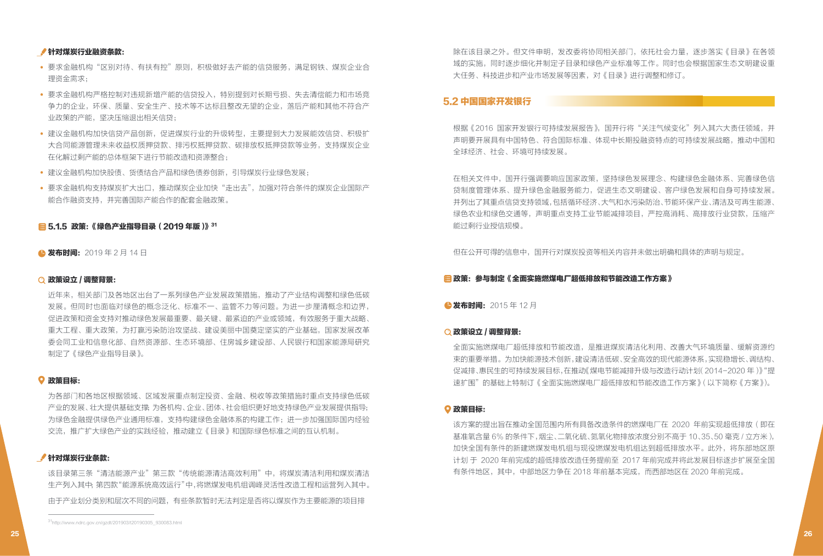#### 针对煤炭行业融资条款:

- 要求金融机构"区别对待、有扶有控"原则,积极做好去产能的信贷服务,满足钢铁、煤炭企业合 理资金需求;
- 要求金融机构严格控制对违规新增产能的信贷投入,特别提到对长期亏损、失去清偿能力和市场竞 争力的企业,环保、质量、安全生产、技术等不达标且整改无望的企业,落后产能和其他不符合产 业政策的产能,坚决压缩退出相关信贷;
- 建议金融机构加快信贷产品创新,促进煤炭行业的升级转型,主要提到大力发展能效信贷、积极扩 大合同能源管理未来收益权质押贷款、排污权抵押贷款、碳排放权抵押贷款等业务,支持煤炭企业 在化解过剩产能的总体框架下进行节能改造和资源整合;
- 建议金融机构加快股债、货债结合产品和绿色债券创新,引导煤炭行业绿色发展;
- 要求金融机构支持煤炭扩大出口,推动煤炭企业加快"走出去",加强对符合条件的煤炭企业国际产 能合作融资支持,并完善国际产能合作的配套金融政策。

#### 日5.1.5 政策:《绿色产业指导目录(2019年版)》31

**● 发布时间:** 2019年2月14日

#### 政策设立 / 调整背景:

近年来,相关部门及各地区出台了一系列绿色产业发展政策措施,推动了产业结构调整和绿色低碳 发展。但同时也面临对绿色的概念泛化、标准不一、监管不力等问题。为进一步厘清概念和边界, 促进政策和资金支持对推动绿色发展最重要、最关键、最紧迫的产业或领域,有效服务于重大战略、 重大工程、重大政策,为打赢污染防治攻坚战、建设美丽中国奠定坚实的产业基础,国家发展改革 委会同工业和信息化部、自然资源部、生态环境部、住房城乡建设部、人民银行和国家能源局研究 制定了《绿色产业指导目录》。

#### 政策目标:

为各部门和各地区根据领域、区域发展重点制定投资、金融、税收等政策措施时重点支持绿色低碳 产业的发展、壮大提供基础支撑;为各机构、企业、团体、社会组织更好地支持绿色产业发展提供指导; 为绿色金融提供绿色产业通用标准,支持构建绿色金融体系的构建工作;进一步加强国际国内经验 交流,推广扩大绿色产业的实践经验,推动建立《目录》和国际绿色标准之间的互认机制。

#### 针对煤炭行业条款:

该目录第三条"清洁能源产业"第三款"传统能源清洁高效利用"中,将煤炭清洁利用和煤炭清洁 生产列入其中;第四款"能源系统高效运行"中,将燃煤发电机组调峰灵活性改造工程和运营列入其中。 由于产业划分类别和层次不同的问题,有些条款暂时无法判定是否将以煤炭作为主要能源的项目排

除在该目录之外。但文件申明,发改委将协同相关部门,依托社会力量,逐步落实《目录》在各领 域的实施,同时逐步细化并制定子目录和绿色产业标准等工作。同时也会根据国家生态文明建设重 大任务、科技进步和产业市场发展等因素,对《目录》进行调整和修订。

#### 5.2 中国国家开发银行

根据《2016 国家开发银行可持续发展报告》,国开行将"关注气候变化"列入其六大责任领域,并 声明要开展具有中国特色、符合国际标准、体现中长期投融资特点的可持续发展战略,推动中国和 全球经济、社会、环境可持续发展。

在相关文件中,国开行强调要响应国家政策,坚持绿色发展理念、构建绿色金融体系、完善绿色信 贷制度管理体系、提升绿色金融服务能力,促进生态文明建设、客户绿色发展和自身可持续发展。 并列出了其重点信贷支持领域,包括循环经济、大气和水污染防治、节能环保产业、清洁及可再生能源、 绿色农业和绿色交通等,声明重点支持工业节能减排项目,严控高消耗、高排放行业贷款,压缩产 能过剩行业授信规模。

但在公开可得的信息中,国开行对煤炭投资等相关内容并未做出明确和具体的声明与规定。

#### ■ 政策:参与制定《全面实施燃煤电厂超低排放和节能改造工作方案》

●发布时间: 2015年12月

#### 政策设立 / 调整背景:

全面实施燃煤电厂超低排放和节能改造,是推进煤炭清洁化利用、改善大气环境质量、缓解资源约 束的重要举措。为加快能源技术创新,建设清洁低碳、安全高效的现代能源体系,实现稳增长、调结构、 促减排、惠民生的可持续发展目标,在推动《煤电节能减排升级与改造行动计划(2014-2020 年)》 "提 速扩围"的基础上特制订《全面实施燃煤电厂超低排放和节能改造工作方案》(以下简称《方案》)。

#### 政策目标:

该方案的提出旨在推动全国范围内所有具备改造条件的燃煤电厂在 2020 年前实现超低排放 (即在 基准氧含量 6% 的条件下,烟尘、二氧化硫、氮氧化物排放浓度分别不高于 10、35、50 毫克 / 立方米), 加快全国有条件的新建燃煤发电机组与现役燃煤发电机组达到超低排放水平。此外,将东部地区原 计划 于 2020 年前完成的超低排放改造任务提前至 2017 年前完成并将此发展目标逐步扩展至全国 有条件地区,其中,中部地区力争在 2018 年前基本完成,而西部地区在 2020 年前完成。

<sup>31</sup>http://www.ndrc.gov.cn/gzdt/201903/t20190305\_930083.html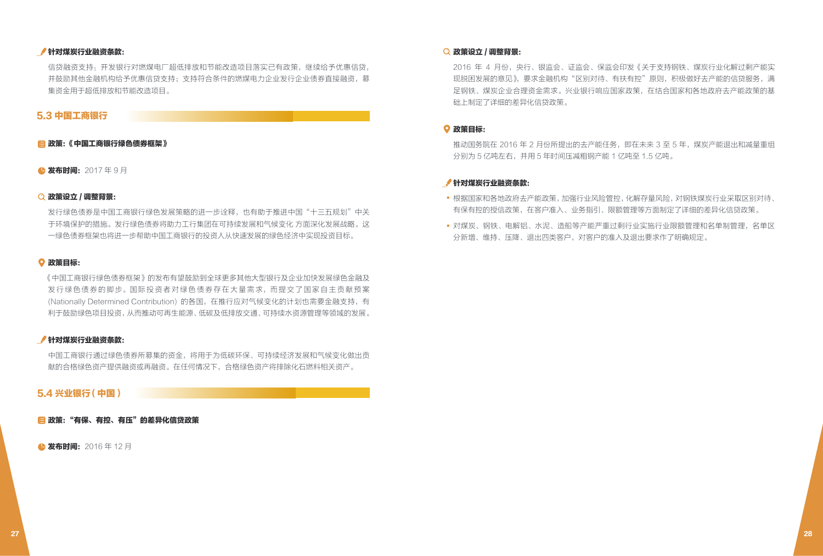#### 针对煤炭行业融资条款:

信贷融资支持:开发银行对燃煤电厂超低排放和节能改造项目落实已有政策,继续给予优惠信贷, 并鼓励其他金融机构给予优惠信贷支持;支持符合条件的燃煤电力企业发行企业债券直接融资,募 集资金用于超低排放和节能改造项目。

#### 5.3 中国工商银行

#### ■ 政策:《中国工商银行绿色债券框架》

▲ 发布时间: 2017年9月

#### 政策设立 / 调整背景:

发行绿色债券是中国工商银行绿色发展策略的进一步诠释,也有助于推进中国"十三五规划"中关 于环境保护的措施。发行绿色债券将助力工行集团在可持续发展和气候变化 方面深化发展战略。这 一绿色债券框架也将进一步帮助中国工商银行的投资人从快速发展的绿色经济中实现投资目标。

#### 政策目标:

《中国工商银行绿色债券框架》的发布有望鼓励到全球更多其他大型银行及企业加快发展绿色金融及 发行绿色债券的脚步。国际投资者对绿色债券存在大量需求,而提交了国家自主贡献预案 (Nationally Determined Contribution) 的各国,在推行应对气候变化的计划也需要金融支持,有 利于鼓励绿色项目投资,从而推动可再生能源、低碳及低排放交通、可持续水资源管理等领域的发展。

#### 针对煤炭行业融资条款:

中国工商银行通过绿色债券所募集的资金,将用于为低碳环保、可持续经济发展和气候变化做出贡 献的合格绿色资产提供融资或再融资。在任何情况下,合格绿色资产将排除化石燃料相关资产。

#### 5.4 兴业银行 (中国)

■ 政策:"有保、有控、有压"的差异化信贷政策

● 发布时间: 2016年12月

#### 政策设立 / 调整背景:

2016 年 4 月份,央行、银监会、证监会、保监会印发《关于支持钢铁,煤炭行业化解过剩产能实 现脱困发展的意见》,要求金融机构"区别对待、有扶有控"原则,积极做好去产能的信贷服务,满 足钢铁、煤炭企业合理资金需求。兴业银行响应国家政策,在结合国家和各地政府去产能政策的基 础上制定了详细的差异化信贷政策。

#### 政策目标:

推动国务院在 2016 年 2 月份所提出的去产能任务,即在未来 3 至 5 年,煤炭产能退出和减量重组 分别为 5 亿吨左右,并用 5 年时间压减粗钢产能 1 亿吨至 1.5 亿吨。

#### 针对煤炭行业融资条款:

- 根据国家和各地政府去产能政策,加强行业风险管控,化解存量风险,对钢铁煤炭行业采取区别对待、 有保有控的授信政策,在客户准入、业务指引、限额管理等方面制定了详细的差异化信贷政策。
- 对煤炭、钢铁、电解铝、水泥、造船等产能严重过剩行业实施行业限额管理和名单制管理,名单区 分新增、维持、压降、退出四类客户,对客户的准入及退出要求作了明确规定。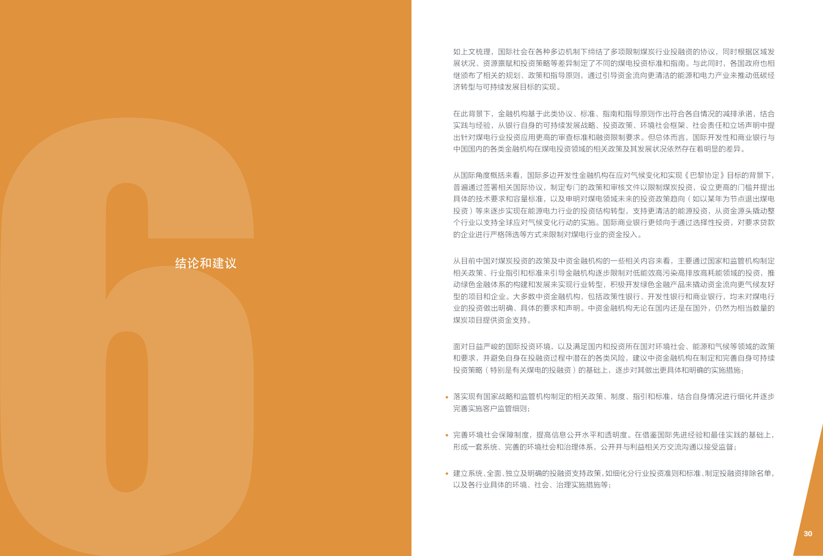如上文梳理,国际社会在各种多边机制下缔结了多项限制煤炭行业投融资的协议,同时根据区域发 展状况、资源禀赋和投资策略等差异制定了不同的煤电投资标准和指南。与此同时,各国政府也相 继颁布了相关的规划、政策和指导原则,通过引导资金流向更清洁的能源和电力产业来推动低碳经 济转型与可持续发展目标的实现。

在此背景下,金融机构基于此类协议、标准、指南和指导原则作出符合各自情况的减排承诺,结合 实践与经验,从银行自身的可持续发展战略、投资政策、环境社会框架、社会责任和立场声明中提 出针对煤电行业投资应用更高的审查标准和融资限制要求。但总体而言,国际开发性和商业银行与 中国国内的各类金融机构在煤电投资领域的相关政策及其发展状况依然存在着明显的差异。

从国际角度概括来看,国际多边开发性金融机构在应对气候变化和实现《巴黎协定》目标的背景下, 普遍通过签署相关国际协议,制定专门的政策和审核文件以限制煤炭投资,设立更高的门槛并提出 具体的技术要求和容量标准,以及申明对煤电领域未来的投资政策趋向(如以某年为节点退出煤电 投资)等来逐步实现在能源电力行业的投资结构转型,支持更清洁的能源投资,从资金源头撬动整 个行业以支持全球应对气候变化行动的实施。国际商业银行更倾向于通过选择性投资,对要求贷款 的企业进行严格筛选等方式来限制对煤电行业的资金投入。  $\begin{aligned} &\frac{2\pi}{2}\mu\sqrt{2}\log\left(\frac{2\pi}{3}\log\left(\frac{2\pi}{3}\log\left(\frac{2\pi}{3}\log\left(\frac{2\pi}{3}\log\left(\frac{2\pi}{3}\log\left(\frac{2\pi}{3}\log\left(\frac{2\pi}{3}\log\left(\frac{2\pi}{3}\log\left(\frac{2\pi}{3}\log\left(\frac{2\pi}{3}\log\left(\frac{2\pi}{3}\log\left(\frac{2\pi}{3}\log\left(\frac{2\pi}{3}\log\left(\frac{2\pi}{3}\log\left(\frac{2\pi}{3}\log\left(\frac{2\pi}{3}\log\left(\frac{2$ 

从目前中国对煤炭投资的政策及中资金融机构的一些相关内容来看,主要通过国家和监管机构制定 相关政策、行业指引和标准来引导金融机构逐步限制对低能效高污染高排放高耗能领域的投资,推 动绿色金融体系的构建和发展来实现行业转型,积极开发绿色金融产品来撬动资金流向更气候友好 型的项目和企业。大多数中资金融机构,包括政策性银行、开发性银行和商业银行,均未对煤电行 业的投资做出明确、具体的要求和声明。中资金融机构无论在国内还是在国外,仍然为相当数量的 煤炭项目提供资金支持。

面对日益严峻的国际投资环境,以及满足国内和投资所在国对环境社会、能源和气候等领域的政策 和要求,并避免自身在投融资过程中潜在的各类风险,建议中资金融机构在制定和完善自身可持续 投资策略(特别是有关煤电的投融资)的基础上,逐步对其做出更具体和明确的实施措施:

- 落实现有国家战略和监管机构制定的相关政策、制度、指引和标准,结合自身情况进行细化并逐步 完善实施客户监管细则;
- 完善环境社会保障制度,提高信息公开水平和透明度。在借鉴国际先进经验和最佳实践的基础上, 形成一套系统、完善的环境社会和治理体系,公开并与利益相关方交流沟通以接受监督;
- 

# 结论和建议